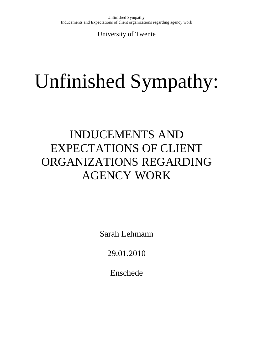University of Twente

# Unfinished Sympathy:

# INDUCEMENTS AND EXPECTATIONS OF CLIENT ORGANIZATIONS REGARDING AGENCY WORK

Sarah Lehmann

29.01.2010

Enschede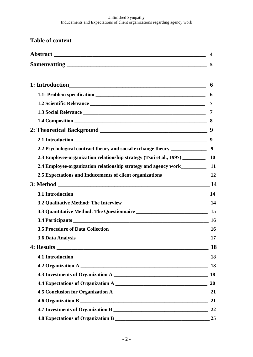**Table of content**

| 2.2 Psychological contract theory and social exchange theory ______________          |  |
|--------------------------------------------------------------------------------------|--|
| 2.3 Employee-organization relationship strategy (Tsui et al., 1997)                  |  |
| 2.4 Employee-organization relationship strategy and agency work__________________ 11 |  |
| 2.5 Expectations and Inducements of client organizations _______________________ 12  |  |
|                                                                                      |  |
|                                                                                      |  |
|                                                                                      |  |
|                                                                                      |  |
| 3.4 Participants 16                                                                  |  |
|                                                                                      |  |
|                                                                                      |  |
|                                                                                      |  |
|                                                                                      |  |
|                                                                                      |  |
|                                                                                      |  |
|                                                                                      |  |
|                                                                                      |  |
|                                                                                      |  |
|                                                                                      |  |
|                                                                                      |  |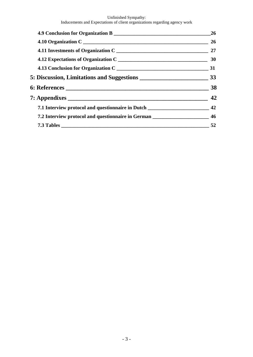#### Unfinished Sympathy:

Inducements and Expectations of client organizations regarding agency work

|                                                                                    | 26 |
|------------------------------------------------------------------------------------|----|
|                                                                                    |    |
|                                                                                    |    |
|                                                                                    |    |
|                                                                                    |    |
|                                                                                    |    |
|                                                                                    |    |
|                                                                                    |    |
| 7.1 Interview protocol and questionnaire in Dutch _____________________________ 42 |    |
| 7.2 Interview protocol and questionnaire in German ___________________________ 46  |    |
|                                                                                    |    |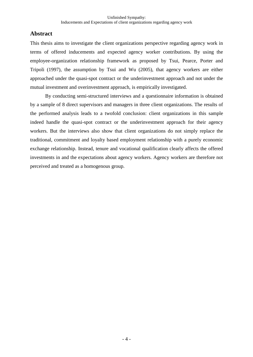# **Abstract**

This thesis aims to investigate the client organizations perspective regarding agency work in terms of offered inducements and expected agency worker contributions. By using the employee-organization relationship framework as proposed by Tsui, Pearce, Porter and Tripoli (1997), the assumption by Tsui and Wu (2005), that agency workers are either approached under the quasi-spot contract or the underinvestment approach and not under the mutual investment and overinvestment approach, is empirically investigated.

By conducting semi-structured interviews and a questionnaire information is obtained by a sample of 8 direct supervisors and managers in three client organizations. The results of the performed analysis leads to a twofold conclusion: client organizations in this sample indeed handle the quasi-spot contract or the underinvestment approach for their agency workers. But the interviews also show that client organizations do not simply replace the traditional, commitment and loyalty based employment relationship with a purely economic exchange relationship. Instead, tenure and vocational qualification clearly affects the offered investments in and the expectations about agency workers. Agency workers are therefore not perceived and treated as a homogenous group.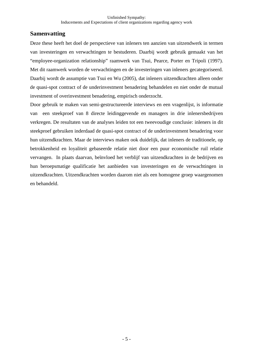# **Samenvatting**

Deze these heeft het doel de perspectieve van inleners ten aanzien van uitzendwerk in termen van investeringen en verwachtingen te bestuderen. Daarbij wordt gebruik gemaakt van het "employee-organization relationship" raamwerk van Tsui, Pearce, Porter en Tripoli (1997). Met dit raamwerk worden de verwachtingen en de investeringen van inleners gecategoriseerd. Daarbij wordt de assumptie van Tsui en Wu (2005), dat inleners uitzendkrachten alleen onder de quasi-spot contract of de underinvestment benadering behandelen en niet onder de mutual investment of overinvestment benadering, empirisch onderzocht.

Door gebruik te maken van semi-gestructureerde interviews en een vragenlijst, is informatie van een steekproef van 8 directe leidinggevende en managers in drie inlenersbedrijven verkregen. De resultaten van de analyses leiden tot een tweevoudige conclusie: inleners in dit steekproef gebruiken inderdaad de quasi-spot contract of de underinvestment benadering voor hun uitzendkrachten. Maar de interviews maken ook duidelijk, dat inleners de traditionele, op betrokkenheid en loyaliteit gebaseerde relatie niet door een puur economische ruil relatie vervangen. In plaats daarvan, beїnvloed het verblijf van uitzendkrachten in de bedrijven en hun beroepsmatige qualificatie het aanbieden van investeringen en de verwachtingen in uitzendkrachten. Uitzendkrachten worden daarom niet als een homogene groep waargenomen en behandeld.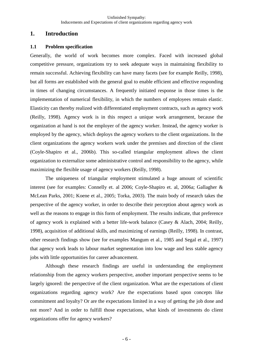# **1. Introduction**

#### **1.1 Problem specification**

Generally, the world of work becomes more complex. Faced with increased global competitive pressure, organizations try to seek adequate ways in maintaining flexibility to remain successful. Achieving flexibility can have many facets (see for example Reilly, 1998), but all forms are established with the general goal to enable efficient and effective responding in times of changing circumstances. A frequently initiated response in those times is the implementation of numerical flexibility, in which the numbers of employees remain elastic. Elasticity can thereby realized with differentiated employment contracts, such as agency work (Reilly, 1998). Agency work is in this respect a unique work arrangement, because the organization at hand is not the employer of the agency worker. Instead, the agency worker is employed by the agency, which deploys the agency workers to the client organizations. In the client organizations the agency workers work under the premises and direction of the client (Coyle-Shapiro et al., 2006b). This so-called triangular employment allows the client organization to externalize some administrative control and responsibility to the agency, while maximizing the flexible usage of agency workers (Reilly, 1998).

 The uniqueness of triangular employment stimulated a huge amount of scientific interest (see for examples: Connelly et. al 2006; Coyle-Shapiro et. al, 2006a; Gallagher & McLean Parks, 2001; Koene et al., 2005; Torka, 2003). The main body of research takes the perspective of the agency worker, in order to describe their perception about agency work as well as the reasons to engage in this form of employment. The results indicate, that preference of agency work is explained with a better life-work balance (Casey & Alach, 2004; Reilly, 1998), acquisition of additional skills, and maximizing of earnings (Reilly, 1998). In contrast, other research findings show (see for examples Mangum et al., 1985 and Segal et al., 1997) that agency work leads to labour market segmentation into low wage and less stable agency jobs with little opportunities for career advancement.

 Although these research findings are useful in understanding the employment relationship from the agency workers perspective, another important perspective seems to be largely ignored: the perspective of the client organization. What are the expectations of client organizations regarding agency work? Are the expectations based upon concepts like commitment and loyalty? Or are the expectations limited in a way of getting the job done and not more? And in order to fulfill those expectations, what kinds of investments do client organizations offer for agency workers?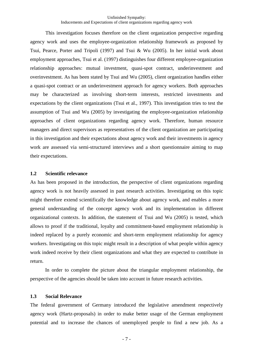This investigation focuses therefore on the client organization perspective regarding agency work and uses the employee-organization relationship framework as proposed by Tsui, Pearce, Porter and Tripoli (1997) and Tsui & Wu (2005). In her initial work about employment approaches, Tsui et al. (1997) distinguishes four different employee-organization relationship approaches: mutual investment, quasi-spot contract, underinvestment and overinvestment. As has been stated by Tsui and Wu (2005), client organization handles either a quasi-spot contract or an underinvestment approach for agency workers. Both approaches may be characterized as involving short-term interests, restricted investments and expectations by the client organizations (Tsui et al., 1997). This investigation tries to test the assumption of Tsui and Wu (2005) by investigating the employee-organization relationship approaches of client organizations regarding agency work. Therefore, human resource managers and direct supervisors as representatives of the client organization are participating in this investigation and their expectations about agency work and their investments in agency work are assessed via semi-structured interviews and a short questionnaire aiming to map their expectations.

#### **1.2 Scientific relevance**

As has been proposed in the introduction, the perspective of client organizations regarding agency work is not heavily assessed in past research activities. Investigating on this topic might therefore extend scientifically the knowledge about agency work, and enables a more general understanding of the concept agency work and its implementation in different organizational contexts. In addition, the statement of Tsui and Wu (2005) is tested, which allows to proof if the traditional, loyalty and commitment-based employment relationship is indeed replaced by a purely economic and short-term employment relationship for agency workers. Investigating on this topic might result in a description of what people within agency work indeed receive by their client organizations and what they are expected to contribute in return.

 In order to complete the picture about the triangular employment relationship, the perspective of the agencies should be taken into account in future research activities*.* 

#### **1.3 Social Relevance**

The federal government of Germany introduced the legislative amendment respectively agency work (Hartz-proposals) in order to make better usage of the German employment potential and to increase the chances of unemployed people to find a new job. As a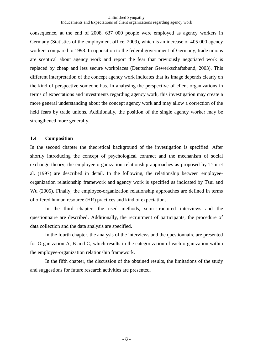consequence, at the end of 2008, 637 000 people were employed as agency workers in Germany (Statistics of the employment office, 2009), which is an increase of 405 000 agency workers compared to 1998. In opposition to the federal government of Germany, trade unions are sceptical about agency work and report the fear that previously negotiated work is replaced by cheap and less secure workplaces (Deutscher Gewerkschaftsbund, 2003). This different interpretation of the concept agency work indicates that its image depends clearly on the kind of perspective someone has. In analysing the perspective of client organizations in terms of expectations and investments regarding agency work, this investigation may create a more general understanding about the concept agency work and may allow a correction of the held fears by trade unions. Additionally, the position of the single agency worker may be strengthened more generally.

#### **1.4 Composition**

In the second chapter the theoretical background of the investigation is specified. After shortly introducing the concept of psychological contract and the mechanism of social exchange theory, the employee-organization relationship approaches as proposed by Tsui et al. (1997) are described in detail. In the following, the relationship between employeeorganization relationship framework and agency work is specified as indicated by Tsui and Wu (2005). Finally, the employee-organization relationship approaches are defined in terms of offered human resource (HR) practices and kind of expectations.

 In the third chapter, the used methods, semi-structured interviews and the questionnaire are described. Additionally, the recruitment of participants, the procedure of data collection and the data analysis are specified.

 In the fourth chapter, the analysis of the interviews and the questionnaire are presented for Organization A, B and C, which results in the categorization of each organization within the employee-organization relationship framework.

 In the fifth chapter, the discussion of the obtained results, the limitations of the study and suggestions for future research activities are presented.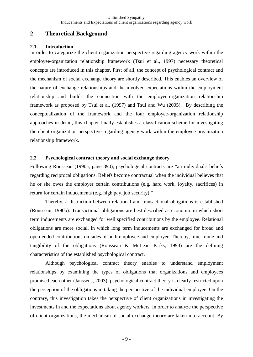# **2 Theoretical Background**

#### **2.1 Introduction**

In order to categorize the client organization perspective regarding agency work within the employee-organization relationship framework (Tsui et al., 1997) necessary theoretical concepts are introduced in this chapter. First of all, the concept of psychological contract and the mechanism of social exchange theory are shortly described. This enables an overview of the nature of exchange relationships and the involved expectations within the employment relationship and builds the connection with the employee-organization relationship framework as proposed by Tsui et al. (1997) and Tsui and Wu (2005). By describing the conceptualization of the framework and the four employee-organization relationship approaches in detail, this chapter finally establishes a classification scheme for investigating the client organization perspective regarding agency work within the employee-organization relationship framework.

# **2.2 Psychological contract theory and social exchange theory**

Following Rousseau (1990a, page 390), psychological contracts are "an individual's beliefs regarding reciprocal obligations. Beliefs become contractual when the individual believes that he or she owes the employer certain contributions (e.g. hard work, loyalty, sacrifices) in return for certain inducements (e.g. high pay, job security)."

Thereby, a distinction between relational and transactional obligations is established (Rousseau, 1990b): Transactional obligations are best described as economic in which short term inducements are exchanged for well specified contributions by the employee. Relational obligations are more social, in which long term inducements are exchanged for broad and open-ended contributions on sides of both employee and employer. Thereby, time frame and tangibility of the obligations (Rousseau & McLean Parks, 1993) are the defining characteristics of the established psychological contract.

 Although psychological contract theory enables to understand employment relationships by examining the types of obligations that organizations and employees promised each other (Janssens, 2003), psychological contract theory is clearly restricted upon the perception of the obligations in taking the perspective of the individual employee. On the contrary, this investigation takes the perspective of client organizations in investigating the investments in and the expectations about agency workers. In order to analyze the perspective of client organizations, the mechanism of social exchange theory are taken into account. By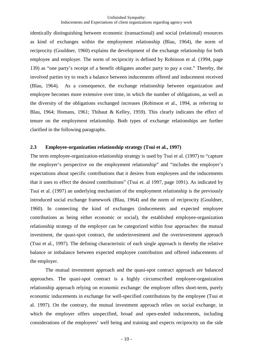identically distinguishing between economic (transactional) and social (relational) resources as kind of exchanges within the employment relationship (Blau, 1964), the norm of reciprocity (Gouldner, 1960) explains the development of the exchange relationship for both employee and employer. The norm of reciprocity is defined by Robinson et al. (1994, page 139) as "one party's receipt of a benefit obligates another party to pay a cost." Thereby, the involved parties try to reach a balance between inducements offered and inducement received (Blau, 1964). As a consequence, the exchange relationship between organization and employee becomes more extensive over time, in which the number of obligations, as well as the diversity of the obligations exchanged increases (Robinson et al., 1994, as referring to Blau, 1964; Homans, 1961; Thibaut & Kelley, 1959). This clearly indicates the effect of tenure on the employment relationship. Both types of exchange relationships are further clarified in the following paragraphs.

#### **2.3 Employee-organization relationship strategy (Tsui et al., 1997)**

The term employee-organization-relationship strategy is used by Tsui et al. (1997) to "capture the employer's perspective on the employment relationship" and "includes the employer's expectations about specific contributions that it desires from employees and the inducements that it uses to effect the desired contributions" (Tsui et. al 1997, page 1091). As indicated by Tsui et al. (1997) an underlying mechanism of the employment relationship is the previously introduced social exchange framework (Blau, 1964) and the norm of reciprocity (Gouldner, 1960). In connecting the kind of exchanges (inducements and expected employee contributions as being either economic or social), the established employee-organization relationship strategy of the employer can be categorized within four approaches: the mutual investment, the quasi-spot contract, the underinvestment and the overinvestment approach (Tsui et al., 1997). The defining characteristic of each single approach is thereby the relative balance or imbalance between expected employee contribution and offered inducements of the employer.

 The mutual investment approach and the quasi-spot contract approach are balanced approaches. The quasi-spot contract is a highly circumscribed employee-organization relationship approach relying on economic exchange: the employer offers short-term, purely economic inducements in exchange for well-specified contributions by the employee (Tsui et al. 1997). On the contrary, the mutual investment approach relies on social exchange, in which the employer offers unspecified, broad and open-ended inducements, including considerations of the employees' well being and training and expects reciprocity on the side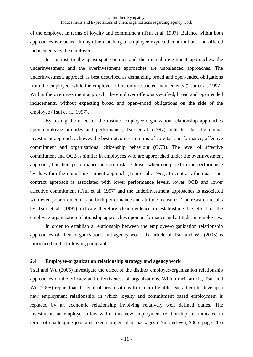of the employee in terms of loyalty and commitment (Tsui et al. 1997). Balance within both approaches is reached through the matching of employee expected contributions and offered inducements by the employer.

 In contrast to the quasi-spot contract and the mutual investment approaches, the underinvestment and the overinvestment approaches are unbalanced approaches. The underinvestment approach is best described as demanding broad and open-ended obligations from the employee, while the employer offers only restricted inducements (Tsui et al. 1997). Within the overinvestment approach, the employer offers unspecified, broad and open ended inducements, without expecting broad and open-ended obligations on the side of the employee (Tsui et al., 1997).

 By testing the effect of the distinct employee-organization relationship approaches upon employee attitudes and performance, Tsui et al. (1997) indicates that the mutual investment approach achieves the best outcomes in terms of core task performance, affective commitment and organizational citizenship behaviour (OCB). The level of affective commitment and OCB is similar in employees who are approached under the overinvestment approach, but their performance on core tasks is lower when compared to the performance levels within the mutual investment approach (Tsui et al., 1997). In contrast, the quasi-spot contract approach is associated with lower performance levels, lower OCB and lower affective commitment (Tsui et al. 1997) and the underinvestment approaches is associated with even poorer outcomes on both performance and attitude measures. The research results by Tsui et al. (1997) indicate therefore clear evidence in establishing the effect of the employee-organization relationship approaches upon performance and attitudes in employees.

 In order to establish a relationship between the employee-organization relationship approaches of client organizations and agency work, the article of Tsui and Wu (2005) is introduced in the following paragraph.

#### **2.4 Employee-organization relationship strategy and agency work**

Tsui and Wu (2005) investigate the effect of the distinct employee-organization relationship approaches on the efficacy and effectiveness of organizations. Within their article, Tsui and Wu (2005) report that the goal of organizations to remain flexible leads them to develop a new employment relationship, in which loyalty and commitment based employment is replaced by an economic relationship involving relatively well defined duties. The investments an employer offers within this new employment relationship are indicated in terms of challenging jobs and fixed compensation packages (Tsui and Wu, 2005, page 115)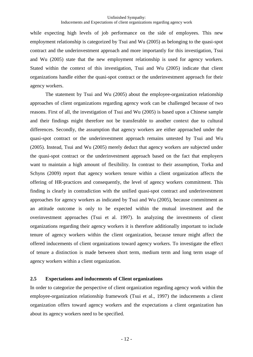while expecting high levels of job performance on the side of employees. This new employment relationship is categorized by Tsui and Wu (2005) as belonging to the quasi-spot contract and the underinvestment approach and more importantly for this investigation, Tsui and Wu (2005) state that the new employment relationship is used for agency workers. Stated within the context of this investigation, Tsui and Wu (2005) indicate that client organizations handle either the quasi-spot contract or the underinvestment approach for their agency workers.

 The statement by Tsui and Wu (2005) about the employee-organization relationship approaches of client organizations regarding agency work can be challenged because of two reasons. First of all, the investigation of Tsui and Wu (2005) is based upon a Chinese sample and their findings might therefore not be transferable to another context due to cultural differences. Secondly, the assumption that agency workers are either approached under the quasi-spot contract or the underinvestment approach remains untested by Tsui and Wu (2005). Instead, Tsui and Wu (2005) merely deduct that agency workers are subjected under the quasi-spot contract or the underinvestment approach based on the fact that employers want to maintain a high amount of flexibility. In contrast to their assumption, Torka and Schyns (2009) report that agency workers tenure within a client organization affects the offering of HR-practices and consequently, the level of agency workers commitment. This finding is clearly in contradiction with the unified quasi-spot contract and underinvestment approaches for agency workers as indicated by Tsui and Wu (2005), because commitment as an attitude outcome is only to be expected within the mutual investment and the overinvestment approaches (Tsui et al. 1997). In analyzing the investments of client organizations regarding their agency workers it is therefore additionally important to include tenure of agency workers within the client organization, because tenure might affect the offered inducements of client organizations toward agency workers. To investigate the effect of tenure a distinction is made between short term, medium term and long term usage of agency workers within a client organization.

#### **2.5 Expectations and inducements of Client organizations**

In order to categorize the perspective of client organization regarding agency work within the employee-organization relationship framework (Tsui et al., 1997) the inducements a client organization offers toward agency workers and the expectations a client organization has about its agency workers need to be specified.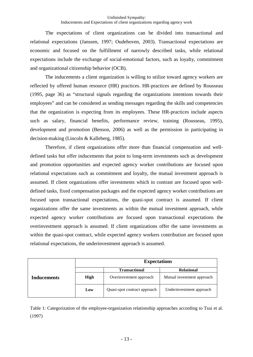The expectations of client organizations can be divided into transactional and relational expectations (Janssen, 1997; Oudehoven, 2003). Transactional expectations are economic and focused on the fulfillment of narrowly described tasks, while relational expectations include the exchange of social-emotional factors, such as loyalty, commitment and organizational citizenship behavior (OCB).

The inducements a client organization is willing to utilize toward agency workers are reflected by offered human resource (HR) practices. HR-practices are defined by Rousseau (1995, page 36) as "structural signals regarding the organizations intentions towards their employees" and can be considered as sending messages regarding the skills and competencies that the organization is expecting from its employees. These HR-practices include aspects such as salary, financial benefits, performance review, training (Rousseau, 1995), development and promotion (Benson, 2006) as well as the permission in participating in decision-making (Lincoln & Kalleberg, 1985).

Therefore, if client organizations offer more than financial compensation and welldefined tasks but offer inducements that point to long-term investments such as development and promotion opportunities and expected agency worker contributions are focused upon relational expectations such as commitment and loyalty, the mutual investment approach is assumed. If client organizations offer investments which in contrast are focused upon welldefined tasks, fixed compensation packages and the expected agency worker contributions are focused upon transactional expectations, the quasi-spot contract is assumed. If client organizations offer the same investments as within the mutual investment approach, while expected agency worker contributions are focused upon transactional expectations the overinvestment approach is assumed. If client organizations offer the same investments as within the quasi-spot contract, while expected agency workers contribution are focused upon relational expectations, the underinvestment approach is assumed.

|             |             | <b>Expectations</b>          |                            |  |  |
|-------------|-------------|------------------------------|----------------------------|--|--|
|             |             | <b>Transactional</b>         | <b>Relational</b>          |  |  |
| Inducements | <b>High</b> | Overinvestment approach      | Mutual investment approach |  |  |
|             | Low         | Quasi-spot contract approach | Underinvestment approach   |  |  |

Table 1: Categorization of the employee-organization relationship approaches according to Tsui et al. (1997)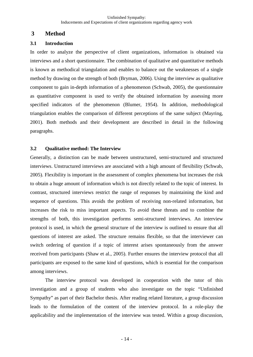# **3 Method**

### **3.1 Introduction**

In order to analyze the perspective of client organizations, information is obtained via interviews and a short questionnaire. The combination of qualitative and quantitative methods is known as methodical triangulation and enables to balance out the weaknesses of a single method by drawing on the strength of both (Bryman, 2006). Using the interview as qualitative component to gain in-depth information of a phenomenon (Schwab, 2005), the questionnaire as quantitative component is used to verify the obtained information by assessing more specified indicators of the phenomenon (Blumer, 1954). In addition, methodological triangulation enables the comparison of different perceptions of the same subject (Mayring, 2001). Both methods and their development are described in detail in the following paragraphs.

#### **3.2 Qualitative method: The Interview**

Generally, a distinction can be made between unstructured, semi-structured and structured interviews. Unstructured interviews are associated with a high amount of flexibility (Schwab, 2005). Flexibility is important in the assessment of complex phenomena but increases the risk to obtain a huge amount of information which is not directly related to the topic of interest. In contrast, structured interviews restrict the range of responses by maintaining the kind and sequence of questions. This avoids the problem of receiving non-related information, but increases the risk to miss important aspects. To avoid these threats and to combine the strengths of both, this investigation performs semi-structured interviews. An interview protocol is used, in which the general structure of the interview is outlined to ensure that all questions of interest are asked. The structure remains flexible, so that the interviewer can switch ordering of question if a topic of interest arises spontaneously from the answer received from participants (Shaw et al., 2005). Further ensures the interview protocol that all participants are exposed to the same kind of questions, which is essential for the comparison among interviews.

The interview protocol was developed in cooperation with the tutor of this investigation and a group of students who also investigate on the topic "Unfinished Sympathy" as part of their Bachelor thesis. After reading related literature, a group discussion leads to the formulation of the content of the interview protocol. In a role-play the applicability and the implementation of the interview was tested. Within a group discussion,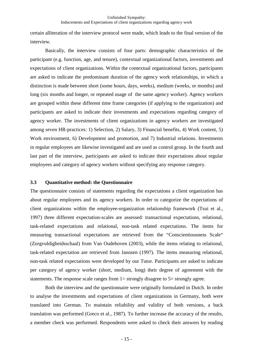certain alliteration of the interview protocol were made, which leads to the final version of the interview.

Basically, the interview consists of four parts: demographic characteristics of the participant (e.g. function, age, and tenure), contextual organizational factors, investments and expectations of client organizations. Within the contextual organizational factors, participants are asked to indicate the predominant duration of the agency work relationships, in which a distinction is made between short (some hours, days, weeks), medium (weeks, or months) and long (six months and longer, or repeated usage of the same agency worker). Agency workers are grouped within these different time frame categories (if applying to the organization) and participants are asked to indicate their investments and expectations regarding category of agency worker. The investments of client organizations in agency workers are investigated among seven HR-practices: 1) Selection, 2) Salary, 3) Financial benefits, 4) Work content, 5) Work environment, 6) Development and promotion, and 7) Industrial relations. Investments in regular employees are likewise investigated and are used as control group. In the fourth and last part of the interview, participants are asked to indicate their expectations about regular employees and category of agency workers without specifying any response category.

#### **3.3 Quantitative method: the Questionnaire**

The questionnaire consists of statements regarding the expectations a client organization has about regular employees and its agency workers. In order to categorize the expectations of client organizations within the employee-organization relationship framework (Tsui et al., 1997) three different expectation-scales are assessed: transactional expectations, relational, task-related expectations and relational, non-task related expectations. The items for measuring transactional expectations are retrieved from the "Conscientiousness Scale" (Zorgvuldigheidsschaal) from Van Oudehoven (2003), while the items relating to relational, task-related expectation are retrieved from Jannsen (1997). The items measuring relational, non-task related expectations were developed by our Tutor. Participants are asked to indicate per category of agency worker (short, medium, long) their degree of agreement with the statements. The response scale ranges from 1= strongly disagree to 5= strongly agree.

Both the interview and the questionnaire were originally formulated in Dutch. In order to analyse the investments and expectations of client organizations in Germany, both were translated into German. To maintain reliability and validity of both versions, a back translation was performed (Greco et al., 1987). To further increase the accuracy of the results, a member check was performed. Respondents were asked to check their answers by reading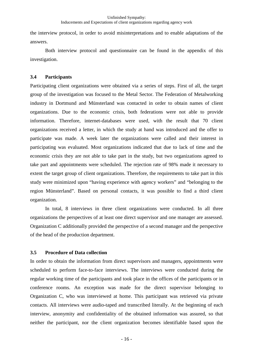the interview protocol, in order to avoid misinterpretations and to enable adaptations of the answers.

Both interview protocol and questionnaire can be found in the appendix of this investigation.

## **3.4 Participants**

Participating client organizations were obtained via a series of steps. First of all, the target group of the investigation was focused to the Metal Sector. The Federation of Metalworking industry in Dortmund and Münsterland was contacted in order to obtain names of client organizations. Due to the economic crisis, both federations were not able to provide information. Therefore, internet-databases were used, with the result that 70 client organizations received a letter, in which the study at hand was introduced and the offer to participate was made. A week later the organizations were called and their interest in participating was evaluated. Most organizations indicated that due to lack of time and the economic crisis they are not able to take part in the study, but two organizations agreed to take part and appointments were scheduled. The rejection rate of 98% made it necessary to extent the target group of client organizations. Therefore, the requirements to take part in this study were minimized upon "having experience with agency workers" and "belonging to the region Münsterland". Based on personal contacts, it was possible to find a third client organization.

In total, 8 interviews in three client organizations were conducted. In all three organizations the perspectives of at least one direct supervisor and one manager are assessed. Organization C additionally provided the perspective of a second manager and the perspective of the head of the production department.

#### **3.5 Procedure of Data collection**

In order to obtain the information from direct supervisors and managers, appointments were scheduled to perform face-to-face interviews. The interviews were conducted during the regular working time of the participants and took place in the offices of the participants or in conference rooms. An exception was made for the direct supervisor belonging to Organization C, who was interviewed at home. This participant was retrieved via private contacts. All interviews were audio-taped and transcribed literally. At the beginning of each interview, anonymity and confidentiality of the obtained information was assured, so that neither the participant, nor the client organization becomes identifiable based upon the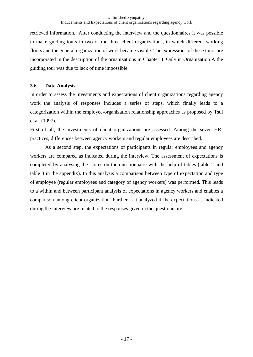retrieved information. After conducting the interview and the questionnaires it was possible to make guiding tours in two of the three client organizations, in which different working floors and the general organization of work became visible. The expressions of these tours are incorporated in the description of the organizations in Chapter 4. Only in Organization A the guiding tour was due to lack of time impossible.

#### **3.6 Data Analysis**

In order to assess the investments and expectations of client organizations regarding agency work the analysis of responses includes a series of steps, which finally leads to a categorization within the employee-organization relationship approaches as proposed by Tsui et al. (1997).

First of all, the investments of client organizations are assessed. Among the seven HRpractices, differences between agency workers and regular employees are described.

As a second step, the expectations of participants in regular employees and agency workers are compared as indicated during the interview. The assessment of expectations is completed by analysing the scores on the questionnaire with the help of tables (table 2 and table 3 in the appendix). In this analysis a comparison between type of expectation and type of employee (regular employees and category of agency workers) was performed. This leads to a within and between participant analysis of expectations in agency workers and enables a comparison among client organization. Further is it analyzed if the expectations as indicated during the interview are related to the responses given in the questionnaire.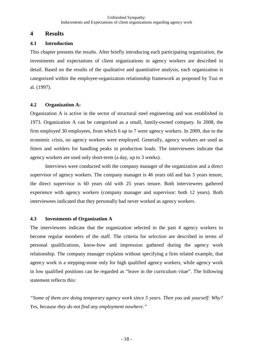# **4 Results**

## **4.1 Introduction**

This chapter presents the results. After briefly introducing each participating organization, the investments and expectations of client organizations in agency workers are described in detail. Based on the results of the qualitative and quantitative analysis, each organization is categorized within the employee-organization relationship framework as proposed by Tsui et al. (1997).

## **4.2 Organization A:**

Organization A is active in the sector of structural steel engineering and was established in 1973. Organization A can be categorized as a small, family-owned company. In 2008, the firm employed 30 employees, from which 6 up to 7 were agency workers. In 2009, due to the economic crisis, no agency workers were employed. Generally, agency workers are used as fitters and welders for handling peaks in production loads. The interviewees indicate that agency workers are used only short-term (a day, up to 3 weeks).

Interviews were conducted with the company manager of the organization and a direct supervisor of agency workers. The company manager is 46 years old and has 5 years tenure, the direct supervisor is 60 years old with 25 years tenure. Both interviewees gathered experience with agency workers (company manager and supervisor: both 12 years). Both interviewees indicated that they personally had never worked as agency workers.

# **4.3 Investments of Organization A**

The interviewees indicate that the organization selected in the past 4 agency workers to become regular members of the staff. The criteria for *selection* are described in terms of personal qualifications, know-how and impression gathered during the agency work relationship. The company manager explains without specifying a firm related example, that agency work is a stepping-stone only for high qualified agency workers, while agency work in low qualified positions can be regarded as "leave in the curriculum vitae". The following statement reflects this:

*"Some of them are doing temporary agency work since 5 years. Then you ask yourself: Why? Yes, because they do not find any employment nowhere."*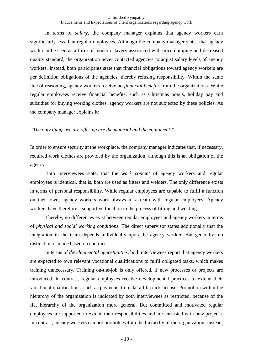In terms of *salary,* the company manager explains that agency workers earn significantly less than regular employees. Although the company manager states that agency work can be seen as a form of modern slavery associated with price dumping and decreased quality standard, the organization never contacted agencies to adjust salary levels of agency workers. Instead, both participants state that financial obligations toward agency workers are per definition obligations of the agencies, thereby refusing responsibility. Within the same line of reasoning, agency workers receive no *financial benefits* from the organizations. While regular employees receive financial benefits, such as Christmas bonus, holiday pay and subsidies for buying working clothes, agency workers are not subjected by these policies. As the company manager explains it:

#### *"The only things we are offering are the material and the equipment."*

In order to ensure security at the workplace, the company manager indicates that, if necessary, required work clothes are provided by the organization, although this is an obligation of the agency.

Both interviewees state, that the *work content* of agency workers and regular employees is identical, that is, both are used as fitters and welders. The only difference exists in terms of personal responsibility. While regular employees are capable to fulfil a function on their own, agency workers work always in a team with regular employees. Agency workers have therefore a supportive function in the process of fitting and welding.

Thereby, no differences exist between regular employees and agency workers in terms of *physical and social working conditions*. The direct supervisor states additionally that the integration in the team depends individually upon the agency worker. But generally, no distinction is made based on contract.

In terms of *developmental opportunities*, both interviewees report that agency workers are expected to own relevant vocational qualifications to fulfil obligated tasks, which makes training unnecessary. Training on-the-job is only offered, if new processes or projects are introduced. In contrast, regular employees receive developmental practices to extend their vocational qualifications, such as payments to make a lift truck license. Promotion within the hierarchy of the organization is indicated by both interviewees as restricted, because of the flat hierarchy of the organization more general. But committed and motivated regular employees are supported to extend their responsibilities and are entrusted with new projects. In contrast, agency workers can not promote within the hierarchy of the organization. Instead,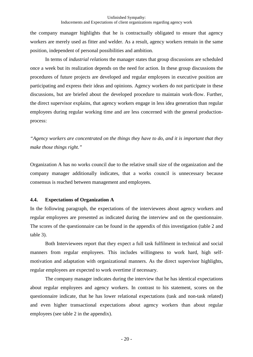the company manager highlights that he is contractually obligated to ensure that agency workers are merely used as fitter and welder. As a result, agency workers remain in the same position, independent of personal possibilities and ambition.

In terms of *industrial relations* the manager states that group discussions are scheduled once a week but its realization depends on the need for action. In these group discussions the procedures of future projects are developed and regular employees in executive position are participating and express their ideas and opinions. Agency workers do not participate in these discussions, but are briefed about the developed procedure to maintain work-flow. Further, the direct supervisor explains, that agency workers engage in less idea generation than regular employees during regular working time and are less concerned with the general productionprocess:

*"Agency workers are concentrated on the things they have to do, and it is important that they make those things right."* 

Organization A has no works council due to the relative small size of the organization and the company manager additionally indicates, that a works council is unnecessary because consensus is reached between management and employees.

#### **4.4. Expectations of Organization A**

In the following paragraph, the expectations of the interviewees about agency workers and regular employees are presented as indicated during the interview and on the questionnaire. The scores of the questionnaire can be found in the appendix of this investigation (table 2 and table 3).

Both Interviewees report that they expect a full task fulfilment in technical and social manners from regular employees. This includes willingness to work hard, high selfmotivation and adaptation with organizational manners. As the direct supervisor highlights, regular employees are expected to work overtime if necessary.

The company manager indicates during the interview that he has identical expectations about regular employees and agency workers. In contrast to his statement, scores on the questionnaire indicate, that he has lower relational expectations (task and non-task related) and even higher transactional expectations about agency workers than about regular employees (see table 2 in the appendix).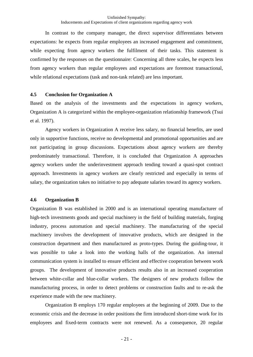In contrast to the company manager, the direct supervisor differentiates between expectations: he expects from regular employees an increased engagement and commitment, while expecting from agency workers the fulfilment of their tasks. This statement is confirmed by the responses on the questionnaire: Concerning all three scales, he expects less from agency workers than regular employees and expectations are foremost transactional, while relational expectations (task and non-task related) are less important.

#### **4.5 Conclusion for Organization A**

Based on the analysis of the investments and the expectations in agency workers, Organization A is categorized within the employee-organization relationship framework (Tsui et al. 1997).

Agency workers in Organization A receive less salary, no financial benefits, are used only in supportive functions, receive no developmental and promotional opportunities and are not participating in group discussions. Expectations about agency workers are thereby predominately transactional. Therefore, it is concluded that Organization A approaches agency workers under the underinvestment approach tending toward a quasi-spot contract approach. Investments in agency workers are clearly restricted and especially in terms of salary, the organization takes no initiative to pay adequate salaries toward its agency workers.

#### **4.6 Organization B**

Organization B was established in 2000 and is an international operating manufacturer of high-tech investments goods and special machinery in the field of building materials, forging industry, process automation and special machinery. The manufacturing of the special machinery involves the development of innovative products, which are designed in the construction department and then manufactured as proto-types. During the guiding-tour, it was possible to take a look into the working halls of the organization. An internal communication system is installed to ensure efficient and effective cooperation between work groups. The development of innovative products results also in an increased cooperation between white-collar and blue-collar workers. The designers of new products follow the manufacturing process, in order to detect problems or construction faults and to re-ask the experience made with the new machinery.

Organization B employs 170 regular employees at the beginning of 2009. Due to the economic crisis and the decrease in order positions the firm introduced short-time work for its employees and fixed-term contracts were not renewed. As a consequence, 20 regular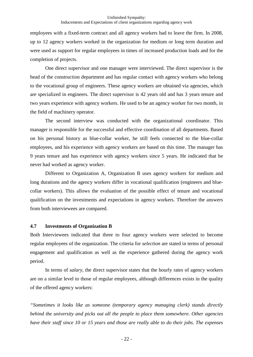employees with a fixed-term contract and all agency workers had to leave the firm. In 2008, up to 12 agency workers worked in the organization for medium or long term duration and were used as support for regular employees in times of increased production loads and for the completion of projects.

One direct supervisor and one manager were interviewed. The direct supervisor is the head of the construction department and has regular contact with agency workers who belong to the vocational group of engineers. These agency workers are obtained via agencies, which are specialized in engineers. The direct supervisor is 42 years old and has 3 years tenure and two years experience with agency workers. He used to be an agency worker for two month, in the field of machinery operator.

The second interview was conducted with the organizational coordinator. This manager is responsible for the successful and effective coordination of all departments. Based on his personal history as blue-collar worker, he still feels connected to the blue-collar employees, and his experience with agency workers are based on this time. The manager has 9 years tenure and has experience with agency workers since 5 years. He indicated that he never had worked as agency worker.

Different to Organization A, Organization B uses agency workers for medium and long durations and the agency workers differ in vocational qualification (engineers and bluecollar workers). This allows the evaluation of the possible effect of tenure and vocational qualification on the investments and expectations in agency workers. Therefore the answers from both interviewees are compared.

#### **4.7 Investments of Organization B**

Both Interviewees indicated that three to four agency workers were selected to become regular employees of the organization. The criteria for *selection* are stated in terms of personal engagement and qualification as well as the experience gathered during the agency work period.

In terms of *salary,* the direct supervisor states that the hourly rates of agency workers are on a similar level to those of regular employees, although differences exists in the quality of the offered agency workers:

*"Sometimes it looks like as someone (temporary agency managing clerk) stands directly behind the university and picks out all the people to place them somewhere. Other agencies have their staff since 10 or 15 years and those are really able to do their jobs. The expenses*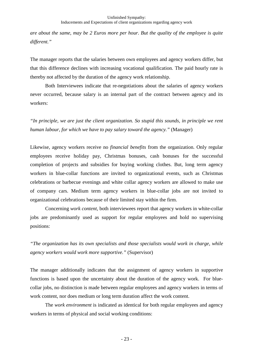*are about the same, may be 2 Euros more per hour. But the quality of the employee is quite different."* 

The manager reports that the salaries between own employees and agency workers differ, but that this difference declines with increasing vocational qualification. The paid hourly rate is thereby not affected by the duration of the agency work relationship.

Both Interviewees indicate that re-negotiations about the salaries of agency workers never occurred, because salary is an internal part of the contract between agency and its workers:

*"In principle, we are just the client organization. So stupid this sounds, in principle we rent human labour, for which we have to pay salary toward the agency."* (Manager)

Likewise, agency workers receive no *financial benefits* from the organization. Only regular employees receive holiday pay, Christmas bonuses, cash bonuses for the successful completion of projects and subsidies for buying working clothes. But, long term agency workers in blue-collar functions are invited to organizational events, such as Christmas celebrations or barbecue evenings and white collar agency workers are allowed to make use of company cars. Medium term agency workers in blue-collar jobs are not invited to organizational celebrations because of their limited stay within the firm.

Concerning *work content*, both interviewees report that agency workers in white-collar jobs are predominantly used as support for regular employees and hold no supervising positions:

*"The organization has its own specialists and those specialists would work in charge, while agency workers would work more supportive."* (Supervisor)

The manager additionally indicates that the assignment of agency workers in supportive functions is based upon the uncertainty about the duration of the agency work. For bluecollar jobs, no distinction is made between regular employees and agency workers in terms of work content, nor does medium or long term duration affect the work content.

The *work environment* is indicated as identical for both regular employees and agency workers in terms of physical and social working conditions: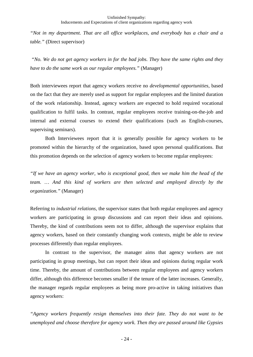*"Not in my department. That are all office workplaces, and everybody has a chair and a table."* (Direct supervisor)

 *"No. We do not get agency workers in for the bad jobs. They have the same rights and they have to do the same work as our regular employees."* (Manager)

Both interviewees report that agency workers receive no *developmental opportunities*, based on the fact that they are merely used as support for regular employees and the limited duration of the work relationship. Instead, agency workers are expected to hold required vocational qualification to fulfil tasks. In contrast, regular employees receive training-on-the-job and internal and external courses to extend their qualifications (such as English-courses, supervising seminars).

Both Interviewees report that it is generally possible for agency workers to be promoted within the hierarchy of the organization, based upon personal qualifications. But this promotion depends on the selection of agency workers to become regular employees:

*"If we have an agency worker, who is exceptional good, then we make him the head of the team. … And this kind of workers are then selected and employed directly by the organization."* (Manager)

Referring to *industrial relations,* the supervisor states that both regular employees and agency workers are participating in group discussions and can report their ideas and opinions. Thereby, the kind of contributions seem not to differ, although the supervisor explains that agency workers, based on their constantly changing work contexts, might be able to review processes differently than regular employees.

In contrast to the supervisor, the manager aims that agency workers are not participating in group meetings, but can report their ideas and opinions during regular work time. Thereby, the amount of contributions between regular employees and agency workers differ, although this difference becomes smaller if the tenure of the latter increases. Generally, the manager regards regular employees as being more pro-active in taking initiatives than agency workers:

*"Agency workers frequently resign themselves into their fate. They do not want to be unemployed and choose therefore for agency work. Then they are passed around like Gypsies*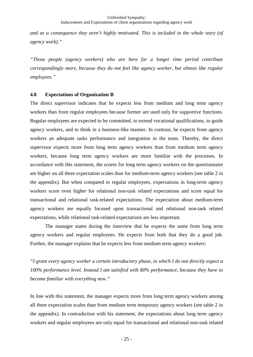*and as a consequence they aren't highly motivated. This is included in the whole story (of agency work)."* 

*"Those people (agency workers) who are here for a longer time period contribute correspondingly more, because they do not feel like agency worker, but almost like regular employees."* 

#### **4.8 Expectations of Organization B**

The direct supervisor indicates that he expects less from medium and long term agency workers than from regular employees because former are used only for supportive functions. Regular employees are expected to be committed, to extend vocational qualifications, to guide agency workers, and to think in a business-like manner. In contrast, he expects from agency workers an adequate tasks performance and integration in the team. Thereby, the direct supervisor expects more from long term agency workers than from medium term agency workers, because long term agency workers are more familiar with the processes. In accordance with this statement, the scores for long term agency workers on the questionnaire are higher on all three expectation scales than for medium-term agency workers (see table 2 in the appendix). But when compared to regular employees, expectations in long-term agency workers score even higher for relational non-task related expectations and score equal for transactional and relational task-related expectations. The expectation about medium-term agency workers are equally focused upon transactional and relational non-task related expectations, while relational task-related expectations are less important.

The manager states during the interview that he expects the same from long term agency workers and regular employees. He expects from both that they do a good job. Further, the manager explains that he expects less from medium term agency workers:

*"I grant every agency worker a certain introductory phase, in which I do not directly expect a 100% performance level. Instead I am satisfied with 80% performance, because they have to become familiar with everything new."* 

In line with this statement, the manager expects more from long term agency workers among all three expectation scales than from medium term temporary agency workers (see table 2 in the appendix). In contradiction with his statement, the expectations about long term agency workers and regular employees are only equal for transactional and relational non-task related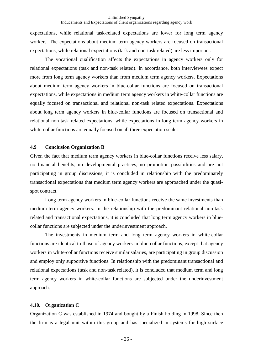expectations, while relational task-related expectations are lower for long term agency workers. The expectations about medium term agency workers are focused on transactional expectations, while relational expectations (task and non-task related) are less important.

The vocational qualification affects the expectations in agency workers only for relational expectations (task and non-task related). In accordance, both interviewees expect more from long term agency workers than from medium term agency workers. Expectations about medium term agency workers in blue-collar functions are focused on transactional expectations, while expectations in medium term agency workers in white-collar functions are equally focused on transactional and relational non-task related expectations. Expectations about long term agency workers in blue-collar functions are focused on transactional and relational non-task related expectations, while expectations in long term agency workers in white-collar functions are equally focused on all three expectation scales.

#### **4.9 Conclusion Organization B**

Given the fact that medium term agency workers in blue-collar functions receive less salary, no financial benefits, no developmental practices, no promotion possibilities and are not participating in group discussions, it is concluded in relationship with the predominately transactional expectations that medium term agency workers are approached under the quasispot contract.

Long term agency workers in blue-collar functions receive the same investments than medium-term agency workers. In the relationship with the predominant relational non-task related and transactional expectations, it is concluded that long term agency workers in bluecollar functions are subjected under the underinvestment approach.

The investments in medium term and long term agency workers in white-collar functions are identical to those of agency workers in blue-collar functions, except that agency workers in white-collar functions receive similar salaries, are participating in group discussion and employ only supportive functions. In relationship with the predominant transactional and relational expectations (task and non-task related), it is concluded that medium term and long term agency workers in white-collar functions are subjected under the underinvestment approach.

#### **4.10. Organization C**

Organization C was established in 1974 and bought by a Finish holding in 1998. Since then the firm is a legal unit within this group and has specialized in systems for high surface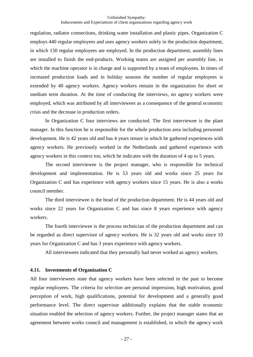regulation, radiator connections, drinking water installation and plastic pipes. Organization C employs 440 regular employees and uses agency workers solely in the production department, in which 150 regular employees are employed. In the production department, assembly lines are installed to finish the end-products. Working teams are assigned per assembly line, in which the machine operator is in charge and is supported by a team of employees. In times of increased production loads and in holiday seasons the number of regular employees is extended by 40 agency workers. Agency workers remain in the organization for short or medium term duration. At the time of conducting the interviews, no agency workers were employed, which was attributed by all interviewees as a consequence of the general economic crisis and the decrease in production orders.

In Organization C four interviews are conducted. The first interviewee is the plant manager. In this function he is responsible for the whole production area including personnel development. He is 42 years old and has 4 years tenure in which he gathered experiences with agency workers. He previously worked in the Netherlands and gathered experience with agency workers in this context too, which he indicates with the duration of 4 up to 5 years.

The second interviewee is the project manager, who is responsible for technical development and implementation. He is 53 years old and works since 25 years for Organization C and has experience with agency workers since 15 years. He is also a works council member.

The third interviewee is the head of the production department. He is 44 years old and works since 22 years for Organization C and has since 8 years experience with agency workers.

The fourth interviewee is the process technician of the production department and can be regarded as direct supervisor of agency workers. He is 32 years old and works since 10 years for Organization C and has 3 years experience with agency workers.

All interviewees indicated that they personally had never worked as agency workers.

#### **4.11. Investments of Organization C**

All four interviewees state that agency workers have been selected in the past to become regular employees. The criteria for *selection* are personal impression, high motivation, good perception of work, high qualifications, potential for development and a generally good performance level. The direct supervisor additionally explains that the stable economic situation enabled the selection of agency workers. Further, the project manager states that an agreement between works council and management is established, in which the agency work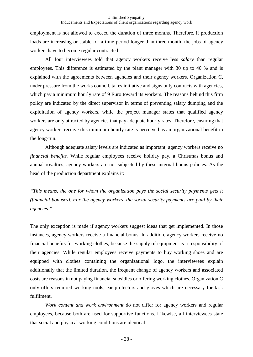employment is not allowed to exceed the duration of three months. Therefore, if production loads are increasing or stable for a time period longer than three month, the jobs of agency workers have to become regular contracted.

All four interviewees told that agency workers receive less *salary* than regular employees. This difference is estimated by the plant manager with 30 up to 40 % and is explained with the agreements between agencies and their agency workers. Organization C, under pressure from the works council, takes initiative and signs only contracts with agencies, which pay a minimum hourly rate of 9 Euro toward its workers. The reasons behind this firm policy are indicated by the direct supervisor in terms of preventing salary dumping and the exploitation of agency workers, while the project manager states that qualified agency workers are only attracted by agencies that pay adequate hourly rates. Therefore, ensuring that agency workers receive this minimum hourly rate is perceived as an organizational benefit in the long-run.

Although adequate salary levels are indicated as important, agency workers receive no *financial benefits.* While regular employees receive holiday pay, a Christmas bonus and annual royalties, agency workers are not subjected by these internal bonus policies. As the head of the production department explains it:

*"This means, the one for whom the organization pays the social security payments gets it (financial bonuses). For the agency workers, the social security payments are paid by their agencies."* 

The only exception is made if agency workers suggest ideas that get implemented. In those instances, agency workers receive a financial bonus. In addition, agency workers receive no financial benefits for working clothes, because the supply of equipment is a responsibility of their agencies. While regular employees receive payments to buy working shoes and are equipped with clothes containing the organizational logo, the interviewees explain additionally that the limited duration, the frequent change of agency workers and associated costs are reasons in not paying financial subsidies or offering working clothes. Organization C only offers required working tools, ear protectors and gloves which are necessary for task fulfilment.

*Work content and work environment* do not differ for agency workers and regular employees, because both are used for supportive functions. Likewise, all interviewees state that social and physical working conditions are identical.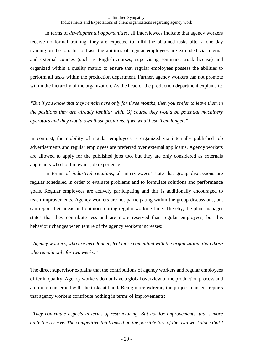In terms of *developmental opportunities,* all interviewees indicate that agency workers receive no formal training: they are expected to fulfil the obtained tasks after a one day training-on-the-job. In contrast, the abilities of regular employees are extended via internal and external courses (such as English-courses, supervising seminars, truck license) and organized within a quality matrix to ensure that regular employees possess the abilities to perform all tasks within the production department. Further, agency workers can not promote within the hierarchy of the organization. As the head of the production department explains it:

*"But if you know that they remain here only for three months, then you prefer to leave them in the positions they are already familiar with. Of course they would be potential machinery operators and they would own those positions, if we would use them longer."* 

In contrast, the mobility of regular employees is organized via internally published job advertisements and regular employees are preferred over external applicants. Agency workers are allowed to apply for the published jobs too, but they are only considered as externals applicants who hold relevant job experience.

In terms of *industrial relations*, all interviewees' state that group discussions are regular scheduled in order to evaluate problems and to formulate solutions and performance goals. Regular employees are actively participating and this is additionally encouraged to reach improvements. Agency workers are not participating within the group discussions, but can report their ideas and opinions during regular working time. Thereby, the plant manager states that they contribute less and are more reserved than regular employees, but this behaviour changes when tenure of the agency workers increases:

*"Agency workers, who are here longer, feel more committed with the organization, than those who remain only for two weeks."* 

The direct supervisor explains that the contributions of agency workers and regular employees differ in quality. Agency workers do not have a global overview of the production process and are more concerned with the tasks at hand. Being more extreme, the project manager reports that agency workers contribute nothing in terms of improvements:

*"They contribute aspects in terms of restructuring. But not for improvements, that's more quite the reserve. The competitive think based on the possible loss of the own workplace that I*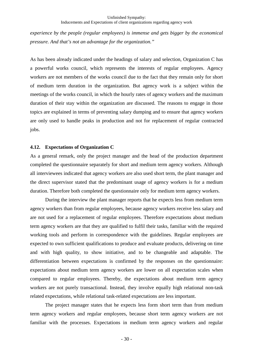*experience by the people (regular employees) is immense and gets bigger by the economical pressure. And that's not an advantage for the organization."* 

As has been already indicated under the headings of salary and selection, Organization C has a powerful works council, which represents the interests of regular employees. Agency workers are not members of the works council due to the fact that they remain only for short of medium term duration in the organization. But agency work is a subject within the meetings of the works council, in which the hourly rates of agency workers and the maximum duration of their stay within the organization are discussed. The reasons to engage in those topics are explained in terms of preventing salary dumping and to ensure that agency workers are only used to handle peaks in production and not for replacement of regular contracted jobs.

#### **4.12. Expectations of Organization C**

As a general remark, only the project manager and the head of the production department completed the questionnaire separately for short and medium term agency workers. Although all interviewees indicated that agency workers are also used short term, the plant manager and the direct supervisor stated that the predominant usage of agency workers is for a medium duration. Therefore both completed the questionnaire only for medium term agency workers.

During the interview the plant manager reports that he expects less from medium term agency workers than from regular employees, because agency workers receive less salary and are not used for a replacement of regular employees. Therefore expectations about medium term agency workers are that they are qualified to fulfil their tasks, familiar with the required working tools and perform in correspondence with the guidelines. Regular employees are expected to own sufficient qualifications to produce and evaluate products, delivering on time and with high quality, to show initiative, and to be changeable and adaptable. The differentiation between expectations is confirmed by the responses on the questionnaire: expectations about medium term agency workers are lower on all expectation scales when compared to regular employees. Thereby, the expectations about medium term agency workers are not purely transactional. Instead, they involve equally high relational non-task related expectations, while relational task-related expectations are less important.

The project manager states that he expects less form short term than from medium term agency workers and regular employees, because short term agency workers are not familiar with the processes. Expectations in medium term agency workers and regular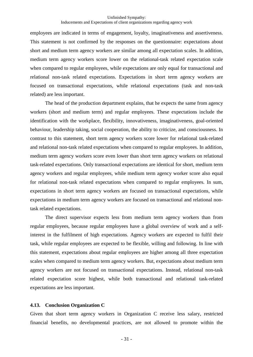employees are indicated in terms of engagement, loyalty, imaginativeness and assertiveness. This statement is not confirmed by the responses on the questionnaire: expectations about short and medium term agency workers are similar among all expectation scales. In addition, medium term agency workers score lower on the relational-task related expectation scale when compared to regular employees, while expectations are only equal for transactional and relational non-task related expectations. Expectations in short term agency workers are focused on transactional expectations, while relational expectations (task and non-task related) are less important.

The head of the production department explains, that he expects the same from agency workers (short and medium term) and regular employees. These expectations include the identification with the workplace, flexibility, innovativeness, imaginativeness, goal-oriented behaviour, leadership taking, social cooperation, the ability to criticize, and consciousness. In contrast to this statement, short term agency workers score lower for relational task-related and relational non-task related expectations when compared to regular employees. In addition, medium term agency workers score even lower than short term agency workers on relational task-related expectations. Only transactional expectations are identical for short, medium term agency workers and regular employees, while medium term agency worker score also equal for relational non-task related expectations when compared to regular employees. In sum, expectations in short term agency workers are focused on transactional expectations, while expectations in medium term agency workers are focused on transactional and relational nontask related expectations.

The direct supervisor expects less from medium term agency workers than from regular employees, because regular employees have a global overview of work and a selfinterest in the fulfilment of high expectations. Agency workers are expected to fulfil their task, while regular employees are expected to be flexible, willing and following. In line with this statement, expectations about regular employees are higher among all three expectation scales when compared to medium term agency workers. But, expectations about medium term agency workers are not focused on transactional expectations. Instead, relational non-task related expectation score highest, while both transactional and relational task-related expectations are less important.

#### **4.13. Conclusion Organization C**

Given that short term agency workers in Organization C receive less salary, restricted financial benefits, no developmental practices, are not allowed to promote within the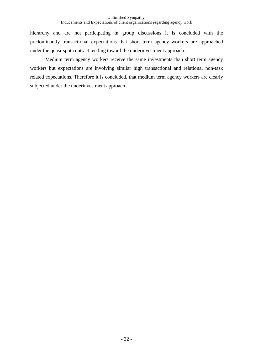hierarchy and are not participating in group discussions it is concluded with the predominantly transactional expectations that short term agency workers are approached under the quasi-spot contract tending toward the underinvestment approach.

Medium term agency workers receive the same investments than short term agency workers but expectations are involving similar high transactional and relational non-task related expectations. Therefore it is concluded, that medium term agency workers are clearly subjected under the underinvestment approach.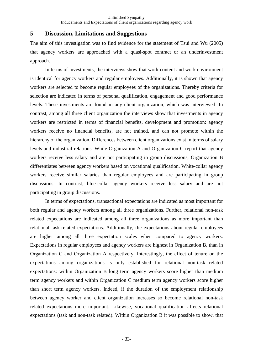# **5 Discussion, Limitations and Suggestions**

The aim of this investigation was to find evidence for the statement of Tsui and Wu (2005) that agency workers are approached with a quasi-spot contract or an underinvestment approach.

 In terms of investments, the interviews show that work content and work environment is identical for agency workers and regular employees. Additionally, it is shown that agency workers are selected to become regular employees of the organizations. Thereby criteria for selection are indicated in terms of personal qualification, engagement and good performance levels. These investments are found in any client organization, which was interviewed. In contrast, among all three client organization the interviews show that investments in agency workers are restricted in terms of financial benefits, development and promotion: agency workers receive no financial benefits, are not trained, and can not promote within the hierarchy of the organization. Differences between client organizations exist in terms of salary levels and industrial relations. While Organization A and Organization C report that agency workers receive less salary and are not participating in group discussions, Organization B differentiates between agency workers based on vocational qualification. White-collar agency workers receive similar salaries than regular employees and are participating in group discussions. In contrast, blue-collar agency workers receive less salary and are not participating in group discussions.

 In terms of expectations, transactional expectations are indicated as most important for both regular and agency workers among all three organizations. Further, relational non-task related expectations are indicated among all three organizations as more important than relational task-related expectations. Additionally, the expectations about regular employees are higher among all three expectation scales when compared to agency workers. Expectations in regular employees and agency workers are highest in Organization B, than in Organization C and Organization A respectively. Interestingly, the effect of tenure on the expectations among organizations is only established for relational non-task related expectations: within Organization B long term agency workers score higher than medium term agency workers and within Organization C medium term agency workers score higher than short term agency workers. Indeed, if the duration of the employment relationship between agency worker and client organization increases so become relational non-task related expectations more important. Likewise, vocational qualification affects relational expectations (task and non-task related). Within Organization B it was possible to show, that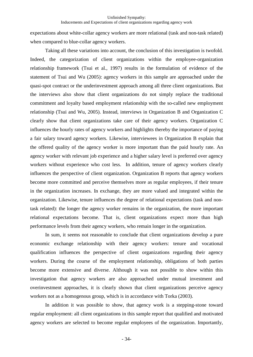expectations about white-collar agency workers are more relational (task and non-task related) when compared to blue-collar agency workers.

 Taking all these variations into account, the conclusion of this investigation is twofold. Indeed, the categorization of client organizations within the employee-organization relationship framework (Tsui et al., 1997) results in the formulation of evidence of the statement of Tsui and Wu (2005): agency workers in this sample are approached under the quasi-spot contract or the underinvestment approach among all three client organizations. But the interviews also show that client organizations do not simply replace the traditional commitment and loyalty based employment relationship with the so-called new employment relationship (Tsui and Wu, 2005). Instead, interviews in Organization B and Organization C clearly show that client organizations take care of their agency workers. Organization C influences the hourly rates of agency workers and highlights thereby the importance of paying a fair salary toward agency workers. Likewise, interviewees in Organization B explain that the offered quality of the agency worker is more important than the paid hourly rate. An agency worker with relevant job experience and a higher salary level is preferred over agency workers without experience who cost less. In addition, tenure of agency workers clearly influences the perspective of client organization. Organization B reports that agency workers become more committed and perceive themselves more as regular employees, if their tenure in the organization increases. In exchange, they are more valued and integrated within the organization. Likewise, tenure influences the degree of relational expectations (task and nontask related): the longer the agency worker remains in the organization, the more important relational expectations become. That is, client organizations expect more than high performance levels from their agency workers, who remain longer in the organization.

 In sum, it seems not reasonable to conclude that client organizations develop a pure economic exchange relationship with their agency workers: tenure and vocational qualification influences the perspective of client organizations regarding their agency workers. During the course of the employment relationship, obligations of both parties become more extensive and diverse. Although it was not possible to show within this investigation that agency workers are also approached under mutual investment and overinvestment approaches, it is clearly shown that client organizations perceive agency workers not as a homogenous group, which is in accordance with Torka (2003).

 In addition it was possible to show, that agency work is a stepping-stone toward regular employment: all client organizations in this sample report that qualified and motivated agency workers are selected to become regular employees of the organization. Importantly,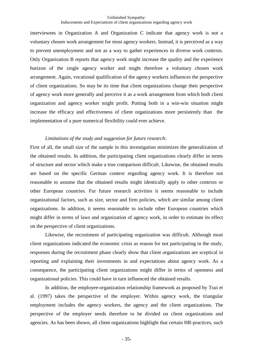interviewees in Organization A and Organization C indicate that agency work is not a voluntary chosen work arrangement for most agency workers. Instead, it is perceived as a way to prevent unemployment and not as a way to gather experiences in diverse work contexts. Only Organization B reports that agency work might increase the quality and the experience horizon of the single agency worker and might therefore a voluntary chosen work arrangement. Again, vocational qualification of the agency workers influences the perspective of client organizations. So may be its time that client organizations change their perspective of agency work more generally and perceive it as a work arrangement from which both client organization and agency worker might profit. Putting both in a win-win situation might increase the efficacy and effectiveness of client organizations more persistently than the implementation of a pure numerical flexibility could ever achieve.

#### *Limitations of the study and suggestion for future research:*

First of all, the small size of the sample in this investigation minimizes the generalization of the obtained results. In addition, the participating client organizations clearly differ in terms of structure and sector which make a true comparison difficult. Likewise, the obtained results are based on the specific German context regarding agency work. It is therefore not reasonable to assume that the obtained results might identically apply to other contexts or other European countries. Fur future research activities it seems reasonable to include organizational factors, such as size, sector and firm policies, which are similar among client organizations. In addition, it seems reasonable to include other European countries which might differ in terms of laws and organization of agency work, in order to estimate its effect on the perspective of client organizations.

 Likewise, the recruitment of participating organization was difficult. Although most client organizations indicated the economic crisis as reason for not participating in the study, responses during the recruitment phase clearly show that client organizations are sceptical in reporting and explaining their investments in and expectations about agency work. As a consequence, the participating client organizations might differ in terms of openness and organizational policies. This could have in turn influenced the obtained results.

 In addition, the employee-organization relationship framework as proposed by Tsui et al. (1997) takes the perspective of the employer. Within agency work, the triangular employment includes the agency workers, the agency and the client organizations. The perspective of the employer needs therefore to be divided on client organizations and agencies. As has been shown, all client organizations highlight that certain HR-practices, such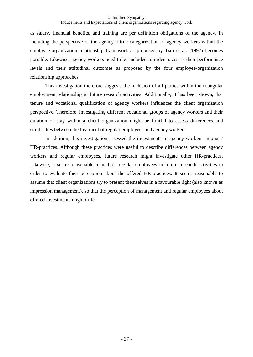as salary, financial benefits, and training are per definition obligations of the agency. In including the perspective of the agency a true categorization of agency workers within the employee-organization relationship framework as proposed by Tsui et al. (1997) becomes possible. Likewise, agency workers need to be included in order to assess their performance levels and their attitudinal outcomes as proposed by the four employee-organization relationship approaches.

 This investigation therefore suggests the inclusion of all parties within the triangular employment relationship in future research activities. Additionally, it has been shown, that tenure and vocational qualification of agency workers influences the client organization perspective. Therefore, investigating different vocational groups of agency workers and their duration of stay within a client organization might be fruitful to assess differences and similarities between the treatment of regular employees and agency workers.

In addition, this investigation assessed the investments in agency workers among 7 HR-practices. Although these practices were useful to describe differences between agency workers and regular employees, future research might investigate other HR-practices. Likewise, it seems reasonable to include regular employees in future research activities in order to evaluate their perception about the offered HR-practices. It seems reasonable to assume that client organizations try to present themselves in a favourable light (also known as impression management), so that the perception of management and regular employees about offered investments might differ.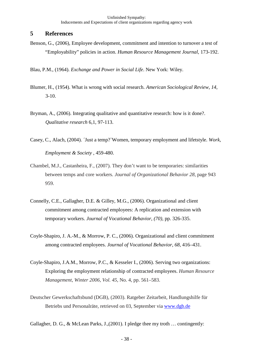# **5 References**

Benson, G., (2006), Employee development, commitment and intention to turnover a test of "Employability" policies in action. *Human Resource Management Journal*, 173-192.

Blau, P.M., (1964). *Exchange and Power in Social Life*. New York: Wiley.

- Blumer, H., (1954). What is wrong with social research. *American Sociological Review*, *14*,  $3-10.$
- Bryman, A., (2006). Integrating qualitative and quantitative research: how is it done?. *Qualitative research* 6,1, 97-113.
- Casey, C., Alach, (2004). ´Just a temp?`Women, temporary employment and lifetstyle. *Work, Employment & Society* , 459-480.
- Chambel, M.J., Castanheira, F., (2007). They don't want to be temporaries: similarities between temps and core workers. *Journal of Organizational Behavior 28*, page 943 959.
- Connelly, C.E., Gallagher, D.E. & Gilley, M.G., (2006). Organizational and client commitment among contracted employees: A replication and extension with temporary workers. *Journal of Vocational Behavior*, *(70),* pp. 326-335.
- Coyle-Shapiro, J. A.-M., & Morrow, P. C., (2006). Organizational and client commitment among contracted employees. *Journal of Vocational Behavior, 68*, 416–431.
- Coyle-Shapiro, J.A.M., Morrow, P.C., & Kesseler I., (2006). Serving two organizations: Exploring the employment relationship of contracted employees. *Human Resource Management*, *Winter 2006, Vol. 45*, No. 4, pp. 561–583.
- Deutscher Gewerkschaftsbund (DGB), (2003). Ratgeber Zeitarbeit, Handlungshilfe für Betriebs und Personalräte, retrieved on 03, September via www.dgb.de

Gallagher, D. G., & McLean Parks, J.,(2001). I pledge thee my troth … contingently: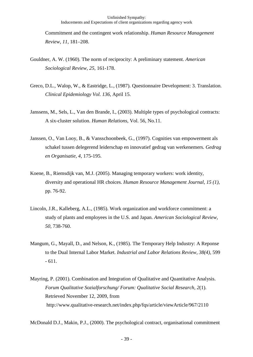Commitment and the contingent work relationship. *Human Resource Management Review, 11*, 181–208.

- Gouldner, A. W. (1960). The norm of reciprocity: A preliminary statement. *American Sociological Review, 25*, 161-178.
- Greco, D.L., Walop, W., & Eastridge, L., (1987). Questionnaire Development: 3. Translation. *Clinical Epidemiology Vol. 136*, April 15.
- Janssens, M., Sels, L., Van den Brande, I., (2003). Multiple types of psychological contracts: A six-cluster solution. *Human Relations*, Vol. 56, No.11.
- Janssen, O., Van Looy, B., & Vansschoonbeek, G., (1997). Cognities van empowerment als schakel tussen delegerend leiderschap en innovatief gedrag van werkenemers*. Gedrag en Organisatie, 4*, 175-195.
- Koene, B., Riemsdijk van, M.J. (2005). Managing temporary workers: work identity, diversity and operational HR choices. *Human Resource Management Journal*, *15 (1),* pp. 76-92.
- Lincoln, J.R., Kalleberg, A.L., (1985). Work organization and workforce commitment: a study of plants and employees in the U.S. and Japan. *American Sociological Review, 50*, 738-760.
- Mangum, G., Mayall, D., and Nelson, K., (1985). The Temporary Help Industry: A Reponse to the Dual Internal Labor Market. *Industrial and Labor Relations Review, 38(4),* 599 - 611.
- Mayring, P. (2001). Combination and Integration of Qualitative and Quantitative Analysis. *Forum Qualitative Sozialforschung/ Forum: Qualitative Social Research, 2*(1). Retrieved November 12, 2009, from http://www.qualitative-research.net/index.php/fqs/article/viewArticle/967/2110

McDonald D.J., Makin, P.J., (2000). The psychological contract, organisational commitment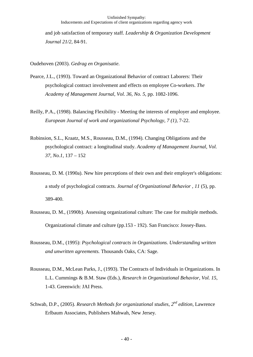and job satisfaction of temporary staff. *Leadership & Organization Development Journal 21/2*, 84-91.

Oudehoven (2003). *Gedrag en Organisatie*.

- Pearce, J.L., (1993). Toward an Organizational Behavior of contract Laborers: Their psychological contract involvement and effects on employee Co-workers. *The Academy of Management Journal*, *Vol. 36, No. 5*, pp. 1082-1096.
- Reilly, P.A., (1998). Balancing Flexibility Meeting the interests of employer and employee. *European Journal of work and organizational Psychology*, *7 (1),* 7-22.
- Robinsion, S.L., Kraatz, M.S., Rousseau, D.M., (1994). Changing Obligations and the psychological contract: a longitudinal study. *Academy of Management Journal, Vol. 37, No.1,* 137 – 152
- Rousseau, D. M. (1990a). New hire perceptions of their own and their employer's obligations: a study of psychological contracts. *Journal of Organizational Behavior , 11* (5), pp. 389-400.
- Rousseau, D. M., (1990b). Assessing organizational culture: The case for multiple methods. Organizational climate and culture (pp.153 - 192). San Francisco: Jossey-Bass.
- Rousseau, D.M., (1995): *Psychological contracts in Organizations. Understanding written and unwritten agreements.* Thousands Oaks, CA: Sage.
- Rousseau, D.M., McLean Parks, J., (1993). The Contracts of Individuals in Organizations. In L.L. Cummings & B.M. Staw (Eds.), *Research in Organizational Behavior*, *Vol. 15*, 1-43. Greenwich: JAI Press.
- Schwab, D.P., (2005). *Research Methods for organizational studies*, *2 nd edition,* Lawrence Erlbaum Associates, Publishers Mahwah, New Jersey.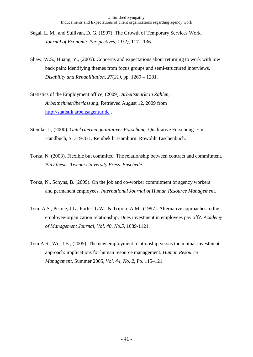- Segal, L. M., and Sullivan, D. G. (1997), The Growth of Temporary Services Work. *Journal of Economic Perspectives, 11(2),* 117 - 136.
- Shaw, W.S., Huang, Y., (2005). Concerns and expectations about returning to work with low back pain: Identifying themes from focus groups and semi-structured interviews. *Disability and Rehabilitation, 27(21),* pp. 1269 – 1281.
- Statistics of the Employment office, (2009). *Arbeitsmarkt in Zahlen, Arbeitnehmerüberlassung*, Retrieved August 12, 2009 from http://statistik.arbeitsagentur.de .
- Steinke, I., (2000). *Gütekriterien qualitativer Forschung*. Qualitative Forschung. Ein Handbuch, S. 319-331. Reinbek b. Hamburg: Rowohlt Taschenbuch.
- Torka, N. (2003). Flexible but commited. The relationship between contract and commitment. *PhD thesis. Twente University Press. Enschede.*
- Torka, N., Schyns, B. (2009). On the job and co-worker commitment of agency workers and permanent employees. *International Journal of Human Resource Management.*
- Tsui, A.S., Pearce, J.L., Porter, L.W., & Tripoli, A.M., (1997). Alternative approaches to the employee-organization relationship: Does investment in employees pay off?. *Academy of Management Journal*, *Vol. 40, No.5*, 1089-1121.
- Tsui A.S., Wu, J.B., (2005). The new employment relationship versus the mutual investment approach: implications for human resource management. *Human Resource Management*, Summer 2005, *Vol. 44, No. 2*, Pp. 115–121.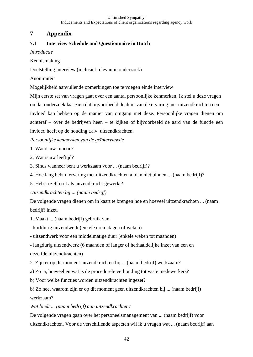# **7 Appendix**

# **7.1 Interview Schedule and Questionnaire in Dutch**

*Introductie* 

Kennismaking

Doelstelling interview (inclusief relevantie onderzoek)

Anonimiteit

Mogelijkheid aanvullende opmerkingen toe te voegen einde interview

Mijn eerste set van vragen gaat over een aantal persoonlijke kenmerken. Ik stel u deze vragen omdat onderzoek laat zien dat bijvoorbeeld de duur van de ervaring met uitzendkrachten een invloed kan hebben op de manier van omgang met deze. Persoonlijke vragen dienen om achteraf – over de bedrijven heen – te kijken of bijvoorbeeld de aard van de functie een invloed heeft op de houding t.a.v. uitzendkrachten.

*Persoonlijke kenmerken van de geïnterviewde* 

1. Wat is uw functie?

2. Wat is uw leeftijd?

3. Sinds wanneer bent u werkzaam voor ... (naam bedrijf)?

4. Hoe lang hebt u ervaring met uitzendkrachten al dan niet binnen ... (naam bedrijf)?

5. Hebt u zelf ooit als uitzendkracht gewerkt?

*Uitzendkrachten bij ... (naam bedrijf)* 

De volgende vragen dienen om in kaart te brengen hoe en hoeveel uitzendkrachten ... (naam bedrijf) inzet.

1. Maakt ... (naam bedrijf) gebruik van

- kortdurig uitzendwerk (enkele uren, dagen of weken)

- uitzendwerk voor een middelmatige duur (enkele weken tot maanden)

- langdurig uitzendwerk (6 maanden of langer of herhaaldelijke inzet van een en dezelfde uitzendkrachten)

2. Zijn er op dit moment uitzendkrachten bij ... (naam bedrijf) werkzaam?

a) Zo ja, hoeveel en wat is de procedurele verhouding tot vaste medewerkers?

b) Voor welke functies worden uitzendkrachten ingezet?

b) Zo nee, waarom zijn er op dit moment geen uitzendkrachten bij ... (naam bedrijf) werkzaam?

*Wat biedt ... (naam bedrijf) aan uitzendkrachten?* 

De volgende vragen gaan over het personeelsmanagement van ... (naam bedrijf) voor uitzendkrachten. Voor de verschillende aspecten wil ik u vragen wat ... (naam bedrijf) aan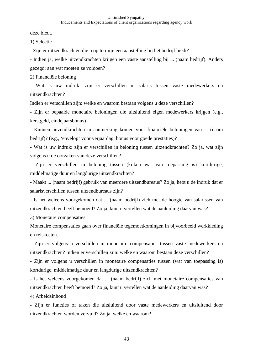deze biedt.

1) Selectie

- Zijn er uitzendkrachten die u op termijn een aanstelling bij het bedrijf biedt?

- Indien ja, welke uitzendkrachten krijgen een vaste aanstelling bij ... (naam bedrijf). Anders gezegd: aan wat moeten ze voldoen?

2) Financiële beloning

- Wat is uw indruk: zijn er verschillen in salaris tussen vaste medewerkers en uitzendkrachten?

Indien er verschillen zijn: welke en waarom bestaan volgens u deze verschillen?

- Zijn er bepaalde monetaire beloningen die uitsluitend eigen medewerkers krijgen (e.g., kerstgeld, eindejaarsbonus)

- Kunnen uitzendkrachten in aanmerking komen voor financiële beloningen van ... (naam bedrijf)? (e.g., 'envelop' voor verjaardag, bonus voor goede prestaties)?

- Wat is uw indruk: zijn er verschillen in beloning tussen uitzendkrachten? Zo ja, wat zijn volgens u de oorzaken van deze verschillen?

- Zijn er verschillen in beloning tussen (kijken wat van toepassing is) kortdurige, middelmatige duur en langdurige uitzendkrachten?

- Maakt ... (naam bedrijf) gebruik van meerdere uitzendbureaus? Zo ja, hebt u de indruk dat er salarisverschillen tussen uitzendbureaus zijn?

- Is het weleens voorgekomen dat ... (naam bedrijf) zich met de hoogte van salarissen van uitzendkrachten heeft bemoeid? Zo ja, kunt u vertellen wat de aanleiding daarvan was?

3) Monetaire compensaties

Monetaire compensaties gaan over financiële tegemoetkomingen in bijvoorbeeld werkkleding en reiskosten.

- Zijn er volgens u verschillen in monetaire compensaties tussen vaste medewerkers en uitzendkrachten? Indien er verschillen zijn: welke en waarom bestaan deze verschillen?

- Zijn er volgens u verschillen in monetaire compensaties tussen (wat van toepassing is) kortdurige, middelmatige duur en langdurige uitzendkrachten?

- Is het weleens voorgekomen dat ... (naam bedrijf) zich met monetaire compensaties van uitzendkrachten heeft bemoeid? Zo ja, kunt u vertellen wat de aanleiding daarvan was? 4) Arbeidsinhoud

- Zijn er functies of taken die uitsluitend door vaste medewerkers en uitsluitend door uitzendkrachten worden vervuld? Zo ja, welke en waarom?

43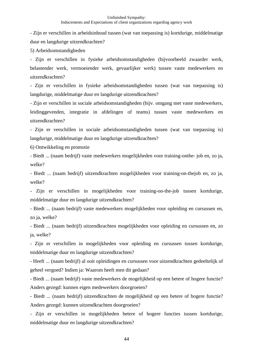- Zijn er verschillen in arbeidsinhoud tussen (wat van toepassing is) kortdurige, middelmatige duur en langdurige uitzendkrachten?

5) Arbeidsomstandigheden

- Zijn er verschillen in fysieke arbeidsomstandigheden (bijvoorbeeld zwaarder werk, belastender werk, vermoeiender werk, gevaarlijker werk) tussen vaste medewerkers en uitzendkrachten?

- Zijn er verschillen in fysieke arbeidsomstandigheden tussen (wat van toepassing is) langdurige, middelmatige duur en langdurige uitzendkrachten?

- Zijn er verschillen in sociale arbeidsomstandigheden (bijv. omgang met vaste medewerkers, leidinggevenden, integratie in afdelingen of teams) tussen vaste medewerkers en uitzendkrachten?

- Zijn er verschillen in sociale arbeidsomstandigheden tussen (wat van toepassing is) langdurige, middelmatige duur en langdurige uitzendkrachten?

6) Ontwikkeling en promotie

- Biedt ... (naam bedrijf) vaste medewerkers mogelijkheden voor training-onthe- job en, zo ja, welke?

- Biedt ... (naam bedrijf) uitzendkrachten mogelijkheden voor training-on-thejob en, zo ja, welke?

- Zijn er verschillen in mogelijkheden voor training-on-the-job tussen kortdurige, middelmatige duur en langdurige uitzendkrachten?

- Biedt ... (naam bedrijf) vaste medewerkers mogelijkheden voor opleiding en cursussen en, zo ja, welke?

- Biedt ... (naam bedrijf) uitzendkrachten mogelijkheden voor opleiding en cursussen en, zo ja, welke?

- Zijn er verschillen in mogelijkheden voor opleiding en cursussen tussen kortdurige, middelmatige duur en langdurige uitzendkrachten?

- Heeft ... (naam bedrijf) al ooit opleidingen en cursussen voor uitzendkrachten gedeeltelijk of geheel vergoed? Indien ja: Waarom heeft men dit gedaan?

- Biedt ... (naam bedrijf) vaste medewerkers de mogelijkheid op een betere of hogere functie? Anders gezegd: kunnen eigen medewerkers doorgroeien?

- Biedt ... (naam bedrijf) uitzendkrachten de mogelijkheid op een betere of hogere functie? Anders gezegd: kunnen uitzendkrachten doorgroeien?

- Zijn er verschillen in mogelijkheden betere of hogere functies tussen kortdurige, middelmatige duur en langdurige uitzendkrachten?

44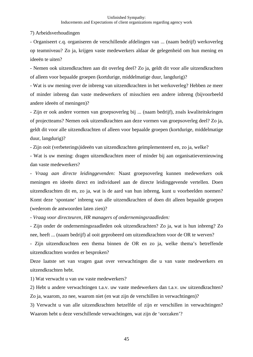7) Arbeidsverhoudingen

- Organiseert c.q. organiseren de verschillende afdelingen van ... (naam bedrijf) werkoverleg op teamniveau? Zo ja, krijgen vaste medewerkers aldaar de gelegenheid om hun mening en ideeën te uiten?

- Nemen ook uitzendkrachten aan dit overleg deel? Zo ja, geldt dit voor alle uitzendkrachten of alleen voor bepaalde groepen (kortdurige, middelmatige duur, langdurig)?

- Wat is uw mening over de inbreng van uitzendkrachten in het werkoverleg? Hebben ze meer of minder inbreng dan vaste medewerkers of misschien een andere inbreng (bijvoorbeeld andere ideeën of meningen)?

- Zijn er ook andere vormen van groepsoverleg bij ... (naam bedrijf), zoals kwaliteitskringen of projectteams? Nemen ook uitzendkrachten aan deze vormen van groepsoverleg deel? Zo ja, geldt dit voor alle uitzendkrachten of alleen voor bepaalde groepen (kortdurige, middelmatige duur, langdurig)?

- Zijn ooit (verbeterings)ideeën van uitzendkrachten geïmplementeerd en, zo ja, welke?

- Wat is uw mening: dragen uitzendkrachten meer of minder bij aan organisatievernieuwing dan vaste medewerkers?

- *Vraag aan directe leidinggevenden:* Naast groepsoverleg kunnen medewerkers ook meningen en ideeën direct en individueel aan de directe leidinggevende vertellen. Doen uitzendkrachten dit en, zo ja, wat is de aard van hun inbreng, kunt u voorbeelden noemen? Komt deze 'spontane' inbreng van alle uitzendkrachten of doen dit alleen bepaalde groepen (wederom de antwoorden laten zien)?

- *Vraag voor directeuren, HR managers of ondernemingsraadleden:* 

- Zijn onder de ondernemingsraadleden ook uitzendkrachten? Zo ja, wat is hun inbreng? Zo nee, heeft ... (naam bedrijf) al ooit geprobeerd om uitzendkrachten voor de OR te werven?

- Zijn uitzendkrachten een thema binnen de OR en zo ja, welke thema's betreffende uitzendkrachten worden er besproken?

Deze laatste set van vragen gaat over verwachtingen die u van vaste medewerkers en uitzendkrachten hebt.

1) Wat verwacht u van uw vaste medewerkers?

2) Hebt u andere verwachtingen t.a.v. uw vaste medewerkers dan t.a.v. uw uitzendkrachten? Zo ja, waarom, zo nee, waarom niet (en wat zijn de verschillen in verwachtingen)?

3) Verwacht u van alle uitzendkrachten hetzelfde of zijn er verschillen in verwachtingen? Waarom hebt u deze verschillende verwachtingen, wat zijn de 'oorzaken'?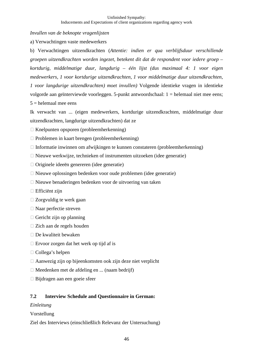*Invullen van de beknopte vragenlijsten* 

a) Verwachtingen vaste medewerkers

b) Verwachtingen uitzendkrachten (*Attentie: indien er qua verblijfsduur verschillende groepen uitzendkrachten worden ingezet, betekent dit dat de respondent voor iedere groep – kortdurig, middelmatige duur, langdurig – één lijst (dus maximaal 4: 1 voor eigen medewerkers, 1 voor kortdurige uitzendkrachten, 1 voor middelmatige duur uitzendkrachten, 1 voor langdurige uitzendkrachten) moet invullen)* Volgende identieke vragen in identieke volgorde aan geïnterviewde voorleggen. 5-punkt antwoordschaal: 1 = helemaal niet mee eens;  $5$  = helemaal mee eens

Ik verwacht van ... (eigen medewerkers, kortdurige uitzendkrachten, middelmatige duur uitzendkrachten, langdurige uitzendkrachten) dat ze

- □ Knelpunten opsporen (probleemherkenning)
- □ Problemen in kaart brengen (probleemherkenning)
- □ Informatie inwinnen om afwijkingen te kunnen constateren (probleemherkenning)
- □ Nieuwe werkwijze, technieken of instrumenten uitzoeken (idee generatie)
- □ Originele ideeën genereren (idee generatie)
- Nieuwe oplossingen bedenken voor oude problemen (idee generatie)
- □ Nieuwe benaderingen bedenken voor de uitvoering van taken
- □ Efficiënt zijn
- Zorgvuldig te werk gaan
- □ Naar perfectie streven
- □ Gericht zijn op planning
- □ Zich aan de regels houden
- $\square$  De kwaliteit bewaken
- □ Ervoor zorgen dat het werk op tijd af is
- □ Collega's helpen
- Aanwezig zijn op bijeenkomsten ook zijn deze niet verplicht
- □ Meedenken met de afdeling en ... (naam bedrijf)
- Bijdragen aan een goeie sfeer

#### **7.2 Interview Schedule and Questionnaire in German:**

#### *Einleitung*

Vorstellung

Ziel des Interviews (einschließlich Relevanz der Untersuchung)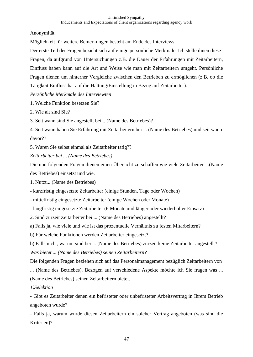Anonymität

Möglichkeit für weitere Bemerkungen besteht am Ende des Interviews

Der erste Teil der Fragen bezieht sich auf einige persönliche Merkmale. Ich stelle ihnen diese Fragen, da aufgrund von Untersuchungen z.B. die Dauer der Erfahrungen mit Zeitarbeitern, Einfluss haben kann auf die Art und Weise wie man mit Zeitarbeitern umgeht. Persönliche Fragen dienen um hinterher Vergleiche zwischen den Betrieben zu ermöglichen (z.B. ob die Tätigkeit Einfluss hat auf die Haltung/Einstellung in Bezug auf Zeitarbeiter).

# *Persönliche Merkmale des Interviewten*

- 1. Welche Funktion besetzen Sie?
- 2. Wie alt sind Sie?

3. Seit wann sind Sie angestellt bei... (Name des Betriebes)?

4. Seit wann haben Sie Erfahrung mit Zeitarbeitern bei ... (Name des Betriebes) und seit wann davor??

5. Waren Sie selbst einmal als Zeitarbeiter tätig??

*Zeitarbeiter bei ... (Name des Betriebes)* 

Die nun folgenden Fragen dienen einen Übersicht zu schaffen wie viele Zeitarbeiter ...(Name des Betriebes) einsetzt und wie.

1. Nutzt... (Name des Betriebes)

- kurzfristig eingesetzte Zeitarbeiter (einige Stunden, Tage oder Wochen)

- mittelfristig eingesetzte Zeitarbeiter (einige Wochen oder Monate)

- langfristig eingesetzte Zeitarbeiter (6 Monate und länger oder wiederholter Einsatz)

2. Sind zurzeit Zeitarbeiter bei ... (Name des Betriebes) angestellt?

a) Falls ja, wie viele und wie ist das prozentuelle Verhältnis zu festen Mitarbeitern?

b) Für welche Funktionen werden Zeitarbeiter eingesetzt?

b) Falls nicht, warum sind bei ... (Name des Betriebes) zurzeit keine Zeitarbeiter angestellt? *Was bietet ... (Name des Betriebes) seinen Zeitarbeitern?* 

Die folgenden Fragen beziehen sich auf das Personalmanagement bezüglich Zeitarbeitern von ... (Name des Betriebes). Bezogen auf verschiedene Aspekte möchte ich Sie fragen was ... (Name des Betriebes) seinen Zeitarbeitern bietet.

# *1)Selektion*

- Gibt es Zeitarbeiter denen ein befristeter oder unbefristeter Arbeitsvertrag in Ihrem Betrieb angeboten wurde?

- Falls ja, warum wurde diesen Zeitarbeitern ein solcher Vertrag angeboten (was sind die Kriterien)?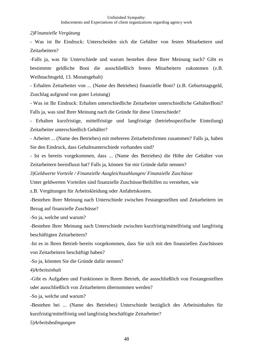#### *2)Finanzielle Vergütung*

- Was ist Ihr Eindruck: Unterscheiden sich die Gehälter von festen Mitarbeitern und Zeitarbeitern?

-Falls ja, was für Unterschiede und warum bestehen diese Ihrer Meinung nach? Gibt es bestimmte geldliche Boni die ausschließlich festen Mitarbeitern zukommen (z.B. Weihnachtsgeld, 13. Monatsgehalt)

- Erhalten Zeitarbeiter von ... (Name des Betriebes) finanzielle Boni? (z.B. Geburtstagsgeld, Zuschlag aufgrund von guter Leistung)

- Was ist Ihr Eindruck: Erhalten unterschiedliche Zeitarbeiter unterschiedliche GehälterBoni? Falls ja, was sind Ihrer Meinung nach die Gründe für diese Unterschiede?

- Erhalten kurzfristige, mittelfristige und langfristige (betriebsspezifische Einteilung) Zeitarbeiter unterschiedlich Gehälter?

- Arbeitet ... (Name des Betriebes) mit mehreren Zeitarbeitsfirmen zusammen? Falls ja, haben Sie den Eindruck, dass Gehaltsunterschiede vorhanden sind?

- Ist es bereits vorgekommen, dass ... (Name des Betriebes) die Höhe der Gehälter von Zeitarbeitern beeinflusst hat? Falls ja, können Sie mir Gründe dafür nennen?

*3)Geldwerte Vorteile / Finanzielle Ausgleichszahlungen/ Finanzielle Zuschüsse* 

Unter geldwerten Vorteilen sind finanzielle Zuschüsse/Beihilfen zu verstehen, wie

z.B. Vergütungen für Arbeitskleidung oder Anfahrtskosten.

-Bestehen Ihrer Meinung nach Unterschiede zwischen Festangestellten und Zeitarbeitern im Bezug auf finanzielle Zuschüsse?

-So ja, welche und warum?

-Bestehen Ihrer Meinung nach Unterschiede zwischen kurzfristig/mittelfristig und langfristig beschäftigten Zeitarbeitern?

-Ist es in Ihren Betrieb bereits vorgekommen, dass Sie sich mit den finanziellen Zuschüssen von Zeitarbeitern beschäftigt haben?

-So ja, könnten Sie die Gründe dafür nennen?

*4)Arbeitsinhalt* 

-Gibt es Aufgaben und Funktionen in Ihrem Betrieb, die ausschließlich von Festangestellten oder ausschließlich von Zeitarbeitern übernommen werden?

-So ja, welche und warum?

-Bestehen bei ... (Name des Betriebes) Unterschiede bezüglich des Arbeitsinhaltes für kurzfristig/mittelfristig und langfristig beschäftigte Zeitarbeiter?

*5)Arbeitsbedingungen*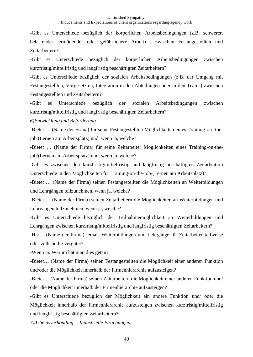-Gibt es Unterschiede bezüglich der körperlichen Arbeitsbedingungen (z.B. schwerer, belastender, ermüdender oder gefährlichere Arbeit) , zwischen Festangestellten und Zeitarbeitern?

-Gibt es Unterschiede bezüglich der körperlichen Arbeitsbedingungen zwischen kurzfristig/mittelfristig und langfristig beschäftigten Zeitarbeitern?

-Gibt es Unterschiede bezüglich der sozialen Arbeitsbedingungen (z.B. der Umgang mit Festangestellten, Vorgesetzten, Integration in den Abteilungen oder in den Teams) zwischen Festangestellten und Zeitarbeitern?

-Gibt es Unterschiede bezüglich der sozialen Arbeitsbedingungen zwischen kurzfristig/mittelfristig und langfristig beschäftigten Zeitarbeitern?

*6)Entwicklung und Beförderung* 

-Bietet … (Name der Firma) für seine Festangestellten Möglichkeiten eines Training-on- thejob (Lernen am Arbeitsplatz) und, wenn ja, welche?

-Bietet … (Name der Firma) für seine Zeitarbeiter Möglichkeiten eines Training-on-thejob/(Lernen am Arbeitsplatz) und, wenn ja, welche?

-Gibt es zwischen den kurzfristig/mittelfristig und langfristig beschäftigten Zeitarbeitern Unterschiede in den Möglichkeiten für Training-on-the-job/(Lernen am Arbeitsplatz)?

-Bietet … (Name der Firma) seinen Festangestellten die Möglichkeiten an Weiterbildungen und Lehrgängen teilzunehmen, wenn ja, welche?

-Bietet … (Name der Firma) seinen Zeitarbeitern die Möglichkeiten an Weiterbildungen und Lehrgängen teilzunehmen, wenn ja, welche?

-Gibt es Unterschiede bezüglich der Teilnahmemöglichkeit an Weiterbildungen und Lehrgängen zwischen kurzfristig/mittelfristig und langfristig beschäftigten Zeitarbeitern?

-Hat… (Name der Firma) jemals Weiterbildungen und Lehrgänge für Zeitarbeiter teilweise oder vollständig vergütet?

-Wenn ja: Warum hat man dies getan?

-Bietet… (Name der Firma) seinen Festangestellten die Möglichkeit einer anderen Funktion und/oder die Möglichkeit innerhalb der Firmenhierarchie aufzusteigen?

-Bietet… (Name der Firma) seinen Zeitarbeitern die Möglichkeit einer anderen Funktion und/ oder die Möglichkeit innerhalb der Firmenhierarchie aufzusteigen?

-Gibt es Unterschiede bezüglich der Möglichkeit ein andere Funktion und/ oder die Möglichkeit innerhalb der Firmenhierarchie aufzusteigen zwischen kurzfristig/mittelfristig und langfristig beschäftigten Zeitarbeitern?

*7)Arbeidsverhouding = Industrielle Beziehungen*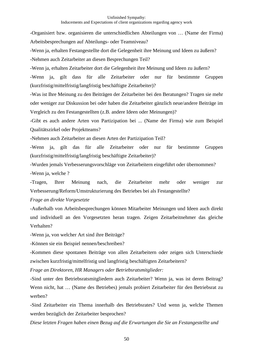-Organisiert bzw. organisieren die unterschiedlichen Abteilungen von … (Name der Firma) Arbeitsbesprechungen auf Abteilungs- oder Teamniveau?

-Wenn ja, erhalten Festangestellte dort die Gelegenheit ihre Meinung und Ideen zu äußern?

-Nehmen auch Zeitarbeiter an diesen Besprechungen Teil?

-Wenn ja, erhalten Zeitarbeiter dort die Gelegenheit ihre Meinung und Ideen zu äußern?

-Wenn ja, gilt dass für alle Zeitarbeiter oder nur für bestimmte Gruppen (kurzfristig/mittelfristig/langfristig beschäftigte Zeitarbeiter)?

-Was ist Ihre Meinung zu den Beiträgen der Zeitarbeiter bei den Beratungen? Tragen sie mehr oder weniger zur Diskussion bei oder haben die Zeitarbeiter gänzlich neue/andere Beiträge im Vergleich zu den Festangestellten (z.B. andere Ideen oder Meinungen)?

-Gibt es auch andere Arten von Partizipation bei ... (Name der Firma) wie zum Beispiel Qualitätszirkel oder Projektteams?

-Nehmen auch Zeitarbeiter an diesen Arten der Partizipation Teil?

-Wenn ja, gilt das für alle Zeitarbeiter oder nur für bestimmte Gruppen (kurzfristig/mittelfristig/langfristig beschäftigte Zeitarbeiter)?

-Wurden jemals Verbesserungsvorschläge von Zeitarbeitern eingeführt oder übernommen? -Wenn ja, welche ?

-Tragen, Ihrer Meinung nach, die Zeitarbeiter mehr oder weniger zur Verbesserung/Reform/Umstrukturierung des Betriebes bei als Festangestellte?

*Frage an direkte Vorgesetzte* 

-Außerhalb von Arbeitsbesprechungen können Mitarbeiter Meinungen und Ideen auch direkt und individuell an den Vorgesetzten heran tragen. Zeigen Zeitarbeitnehmer das gleiche Verhalten?

-Wenn ja, von welcher Art sind ihre Beiträge?

-Können sie ein Beispiel nennen/beschreiben?

-Kommen diese spontanen Beiträge von allen Zeitarbeitern oder zeigen sich Unterschiede zwischen kurzfristig/mittelfristig und langfristig beschäftigten Zeitarbeitern?

*Frage an Direktoren, HR Managers oder Betriebsratsmitglieder:* 

-Sind unter den Betriebsratsmitgliedern auch Zeitarbeiter? Wenn ja, was ist deren Beitrag? Wenn nicht, hat … (Name des Betriebes) jemals probiert Zeitarbeiter für den Betriebsrat zu werben?

-Sind Zeitarbeiter ein Thema innerhalb des Betriebsrates? Und wenn ja, welche Themen werden bezüglich der Zeitarbeiter besprochen?

*Diese letzten Fragen haben einen Bezug auf die Erwartungen die Sie an Festangestellte und*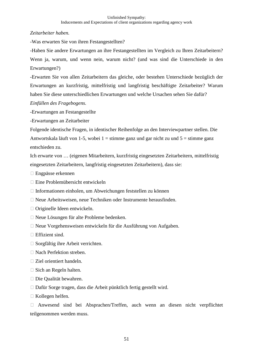*Zeitarbeiter haben.* 

-Was erwarten Sie von ihren Festangestellten?

-Haben Sie andere Erwartungen an ihre Festangestellten im Vergleich zu Ihren Zeitarbeitern? Wenn ja, warum, und wenn nein, warum nicht? (und was sind die Unterschiede in den Erwartungen?)

-Erwarten Sie von allen Zeitarbeitern das gleiche, oder bestehen Unterschiede bezüglich der Erwartungen an kurzfristig, mittelfristig und langfristig beschäftigte Zeitarbeiter? Warum haben Sie diese unterschiedlichen Erwartungen und welche Ursachen sehen Sie dafür?

*Einfüllen des Fragebogens.* 

-Erwartungen an Festangestellte

-Erwartungen an Zeitarbeiter

Folgende identische Fragen, in identischer Reihenfolge an den Interviewpartner stellen. Die Antwortskala läuft von 1-5, wobei 1 = stimme ganz und gar nicht zu und  $5 =$  stimme ganz entschieden zu.

Ich erwarte von … (eigenen Mitarbeitern, kurzfristig eingesetzten Zeitarbeitern, mittelfristig eingesetzten Zeitarbeitern, langfristig eingesetzten Zeitarbeitern), dass sie:

- Engpässe erkennen
- Eine Problemübersicht entwickeln
- Informationen einholen, um Abweichungen feststellen zu können
- Neue Arbeitsweisen, neue Techniken oder Instrumente herausfinden.
- Originelle Ideen entwickeln.
- □ Neue Lösungen für alte Probleme bedenken.
- Neue Vorgehensweisen entwickeln für die Ausführung von Aufgaben.
- □ Effizient sind.
- □ Sorgfältig ihre Arbeit verrichten.
- Nach Perfektion streben.
- □ Ziel orientiert handeln.
- □ Sich an Regeln halten.
- □ Die Qualität bewahren.
- Dafür Sorge tragen, dass die Arbeit pünktlich fertig gestellt wird.
- □ Kollegen helfen.

- Anwesend sind bei Absprachen/Treffen, auch wenn an diesen nicht verpflichtet teilgenommen werden muss.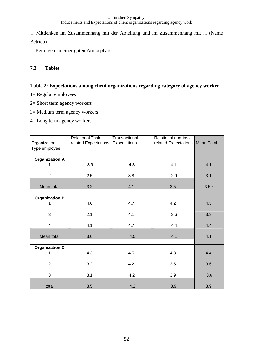□ Mitdenken im Zusammenhang mit der Abteilung und im Zusammenhang mit ... (Name Betrieb)

□ Beitragen an einer guten Atmosphäre

# **7.3 Tables**

#### **Table 2: Expectations among client organizations regarding category of agency worker**

- 1= Regular employees
- 2= Short term agency workers
- 3= Medium term agency workers
- 4= Long term agency workers

| Organization            | <b>Relational Task-</b><br>related Expectations | Transactional<br>Expectations | Relational non-task<br>related Expectations | Mean Total |
|-------------------------|-------------------------------------------------|-------------------------------|---------------------------------------------|------------|
| Type employee           |                                                 |                               |                                             |            |
| <b>Organization A</b>   |                                                 |                               |                                             |            |
| 1                       | 3.9                                             | 4.3                           | 4.1                                         | 4.1        |
| $\overline{2}$          | 2.5                                             | 3.8                           | 2.9                                         | 3.1        |
| Mean total              | 3.2                                             | 4.1                           | 3.5                                         | 3.59       |
|                         |                                                 |                               |                                             |            |
| <b>Organization B</b>   |                                                 |                               |                                             |            |
| 1                       | 4.6                                             | 4.7                           | 4.2                                         | 4.5        |
| 3                       | 2.1                                             | 4.1                           | 3.6                                         | 3.3        |
| $\overline{\mathbf{4}}$ | 4.1                                             | 4.7                           | 4.4                                         | 4.4        |
| Mean total              | 3.6                                             | 4.5                           | 4.1                                         | 4.1        |
|                         |                                                 |                               |                                             |            |
| <b>Organization C</b>   |                                                 |                               |                                             |            |
|                         | 4.3                                             | 4.5                           | 4.3                                         | 4.4        |
| $\overline{2}$          | 3.2                                             | 4.2                           | 3.5                                         | 3.6        |
| 3                       | 3.1                                             | 4.2                           | 3.9                                         | 3.6        |
| total                   | 3.5                                             | 4.2                           | 3.9                                         | 3.9        |